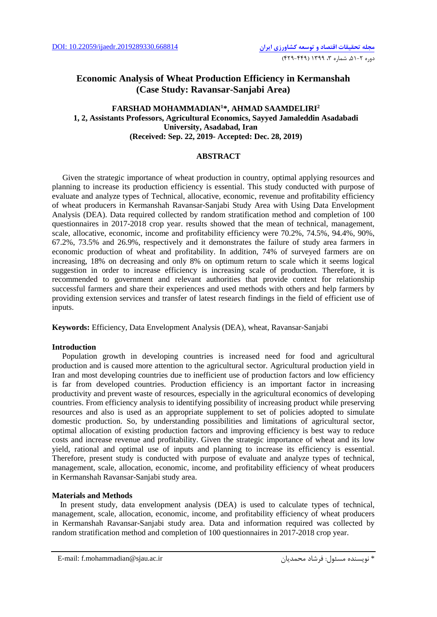# **Economic Analysis of Wheat Production Efficiency in Kermanshah (Case Study: Ravansar-Sanjabi Area)**

## **FARSHAD MOHAMMADIAN1 \*, AHMAD SAAMDELIRI2 1, 2, Assistants Professors, Agricultural Economics, Sayyed Jamaleddin Asadabadi University, Asadabad, Iran (Received: Sep. 22, 2019- Accepted: Dec. 28, 2019)**

#### **ABSTRACT**

Given the strategic importance of wheat production in country, optimal applying resources and planning to increase its production efficiency is essential. This study conducted with purpose of evaluate and analyze types of Technical, allocative, economic, revenue and profitability efficiency of wheat producers in Kermanshah Ravansar-Sanjabi Study Area with Using Data Envelopment Analysis (DEA). Data required collected by random stratification method and completion of 100 questionnaires in 2017-2018 crop year. results showed that the mean of technical, management, scale, allocative, economic, income and profitability efficiency were 70.2%, 74.5%, 94.4%, 90%, 67.2%, 73.5% and 26.9%, respectively and it demonstrates the failure of study area farmers in economic production of wheat and profitability. In addition, 74% of surveyed farmers are on increasing, 18% on decreasing and only 8% on optimum return to scale which it seems logical suggestion in order to increase efficiency is increasing scale of production. Therefore, it is recommended to government and relevant authorities that provide context for relationship successful farmers and share their experiences and used methods with others and help farmers by providing extension services and transfer of latest research findings in the field of efficient use of inputs.

**Keywords:** Efficiency, Data Envelopment Analysis (DEA), wheat, Ravansar-Sanjabi

## **Introduction**

 Population growth in developing countries is increased need for food and agricultural production and is caused more attention to the agricultural sector. Agricultural production yield in Iran and most developing countries due to inefficient use of production factors and low efficiency is far from developed countries. Production efficiency is an important factor in increasing productivity and prevent waste of resources, especially in the agricultural economics of developing countries. From efficiency analysis to identifying possibility of increasing product while preserving resources and also is used as an appropriate supplement to set of policies adopted to simulate domestic production. So, by understanding possibilities and limitations of agricultural sector, optimal allocation of existing production factors and improving efficiency is best way to reduce costs and increase revenue and profitability. Given the strategic importance of wheat and its low yield, rational and optimal use of inputs and planning to increase its efficiency is essential. Therefore, present study is conducted with purpose of evaluate and analyze types of technical, management, scale, allocation, economic, income, and profitability efficiency of wheat producers in Kermanshah Ravansar-Sanjabi study area.

#### **Materials and Methods**

 In present study, data envelopment analysis (DEA) is used to calculate types of technical, management, scale, allocation, economic, income, and profitability efficiency of wheat producers in Kermanshah Ravansar-Sanjabi study area. Data and information required was collected by random stratification method and completion of 100 questionnaires in 2017-2018 crop year.

E-mail: f.mohammadian@sjau.ac.ir محمدیان فرشاد :مسئول نویسنده\*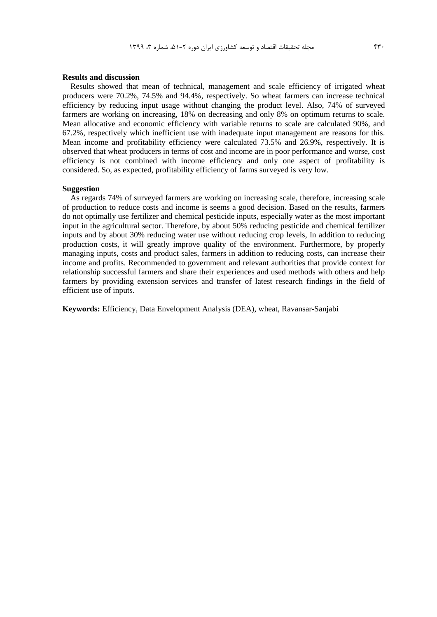### **Results and discussion**

 Results showed that mean of technical, management and scale efficiency of irrigated wheat producers were 70.2%, 74.5% and 94.4%, respectively. So wheat farmers can increase technical efficiency by reducing input usage without changing the product level. Also, 74% of surveyed farmers are working on increasing, 18% on decreasing and only 8% on optimum returns to scale. Mean allocative and economic efficiency with variable returns to scale are calculated 90%, and 67.2%, respectively which inefficient use with inadequate input management are reasons for this. Mean income and profitability efficiency were calculated 73.5% and 26.9%, respectively. It is observed that wheat producers in terms of cost and income are in poor performance and worse, cost efficiency is not combined with income efficiency and only one aspect of profitability is considered. So, as expected, profitability efficiency of farms surveyed is very low.

#### **Suggestion**

 As regards 74% of surveyed farmers are working on increasing scale, therefore, increasing scale of production to reduce costs and income is seems a good decision. Based on the results, farmers do not optimally use fertilizer and chemical pesticide inputs, especially water as the most important input in the agricultural sector. Therefore, by about 50% reducing pesticide and chemical fertilizer inputs and by about 30% reducing water use without reducing crop levels, In addition to reducing production costs, it will greatly improve quality of the environment. Furthermore, by properly managing inputs, costs and product sales, farmers in addition to reducing costs, can increase their income and profits. Recommended to government and relevant authorities that provide context for relationship successful farmers and share their experiences and used methods with others and help farmers by providing extension services and transfer of latest research findings in the field of efficient use of inputs.

**Keywords:** Efficiency, Data Envelopment Analysis (DEA), wheat, Ravansar-Sanjabi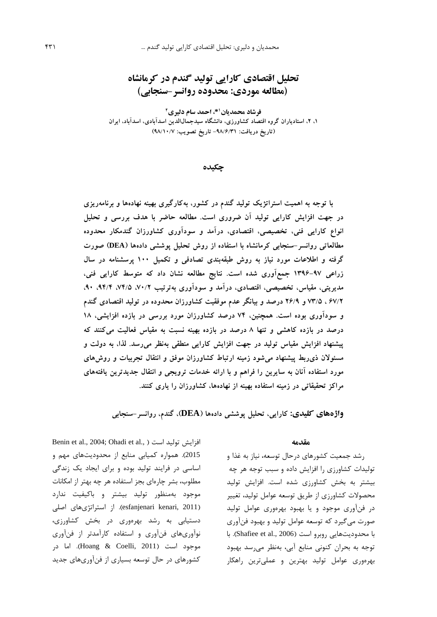**تحلیل اقتصادي کارایی تولید گندم در کرمانشاه**

**(مطالعه موردي: محدوده روانسر-سنجابی)** 

**2 \*، احمد سام دلیري <sup>1</sup> فرشاد محمدیان ،1 ،2 استادیاران گروه اقتصاد کشاورزي، دانشگاه سیدجمالالدین اسدآبادي، اسدآباد، ایران (تاریخ دریافت: -98/6/31 تاریخ تصویب: 98/10/7)**

## **چکیده**

**با توجه به اهمیت استراتژیک تولید گندم در کشور، بهکارگیري بهینه نهادهها و برنامهریزي در جهت افزایش کارایی تولید آن ضروري است. مطالعه حاضر با هدف بررسی و تحلیل انواع کارایی فنی، تخصیصی، اقتصادي، درآمد و سودآوري کشاورزان گندمکار محدوده مطالعاتی روانسر-سنجابی کرمانشاه با استفاده از روش تحلیل پوششی دادهها (DEA (صورت گرفته و اطلاعات مورد نیاز به روش طبقهبندي تصادفی و تکمیل 100 پرسشنامه در سال زراعی 1396-97 جمعآوري شده است. نتایج مطالعه نشان داد که متوسط کارایی فنی، مدیریتی، مقیاس، تخصیصی، اقتصادي، درآمد و سودآوري بهترتیب ،70/2 ،74/5 ،94/4 ،90 67/2 ، 73/5 و 26/9 درصد و بیانگر عدم موفقیت کشاورزان محدوده در تولید اقتصادي گندم و سودآوري بوده است. همچنین، 74 درصد کشاورزان مورد بررسی در بازده افزایشی، 18 درصد در بازده کاهشی و تنها 8 درصد در بازده بهینه نسبت به مقیاس فعالیت میکنند که پیشنهاد افزایش مقیاس تولید در جهت افزایش کارایی منطقی بهنظر میرسد. لذا، به دولت و مسئولان ذيربط پیشنهاد میشود زمینه ارتباط کشاورزان موفق و انتقال تجربیات و روشهاي مورد استفاده آنان به سایرین را فراهم و با ارائه خدمات ترویجی و انتقال جدیدترین یافتههاي مراکز تحقیقاتی در زمینه استفاده بهینه از نهادهها، کشاورزان را یاري کنند.** 

**واژههاي کلیدي: کارایی، تحلیل پوششی دادهها (DEA(، گندم، روانسر-سنجابی**

Benin et al., 2004; Ohadi et al., ) افزایش تولید است 2015). همواره کمیابی منابع از محدودیتهاي مهم و اساسی در فرایند تولید بوده و براي ایجاد یک زندگی مطلوب، بشر چارهاي بجز استفاده هر چه بهتر از امکانات موجود بهمنظور تولید بیشتر و باکیفیت ندارد (esfanjenari kenari, 2011). از استراتژیهای اصلی دستیابی به رشد بهرهوري در بخش کشاورزي، نوآوريهاي فنآوري و استفاده کارآمدتر از فنآوري موجود است (2011 ,Hoang & Coelli). اما در کشورهاي در حال توسعه بسیاري از فنآوريهاي جدید **مقدمه**

رشد جمعیت کشورهاي درحال توسعه، نیاز به غذا و تولیدات کشاورزي را افزایش داده و سبب توجه هر چه بیشتر به بخش کشاورزي شده است. افزایش تولید محصولات کشاورزي از طریق توسعه عوامل تولید، تغییر در فنآوري موجود و یا بهبود بهرهوري عوامل تولید صورت میگیرد که توسعه عوامل تولید و بهبود فنآوري با محدودیتهایی روبرو است (Shafiee et al., 2006). با توجه به بحران کنونی منابع آبی، بهنظر میرسد بهبود بهرهوري عوامل تولید بهترین و عملیترین راهکار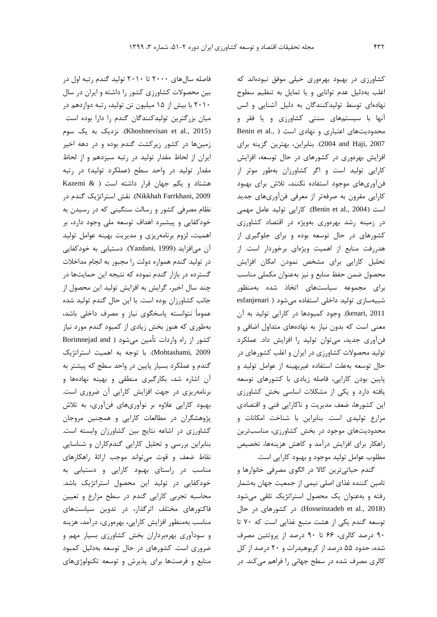فاصله سالهاي 2000 تا 2010 تولید گندم رتبه اول در بین محصولات کشاورزي کشور را داشته و ایران در سال 2010 با بیش از 15 میلیون تن تولید، رتبه دوازدهم در میان بزرگترین تولیدکنندگان گندم را دارا بوده است (2015 .Khoshnevisan et al). نزدیک به یک سوم زمینها در کشور زیرکشت گندم بوده و در دهه اخیر ایران از لحاظ مقدار تولید در رتبه سیزدهم و از لحاظ مقدار تولید در واحد سطح (عملکرد تولید) در رتبه هشتاد و یکم جهان قرار داشته است ( & Kazemi 2009 ,Farrkhani Nikkhah(. نقش استراتژیک گندم در نظام مصرفی کشور و رسالت سنگینی که در رسیدن به خودکفایی و پیشبرد اهداف توسعه ملی وجود دارد، بر اهمیت، لزوم برنامهریزي و مدیریت بهینه عوامل تولید آن میافزاید (1999 ,Yazdani(. دستیابی به خودکفایی در تولید گندم همواره دولت را مجبور به انجام مداخلات گسترده در بازار گندم نموده که نتیجه این حمایتها در چند سال اخیر، گرایش به افزایش تولید این محصول از جانب کشاورزان بوده است. با این حال گندم تولید شده عموماً نتوانسته پاسخگوي نیاز و مصرف داخلی باشد، بهطوري که هنوز بخش زیادي از کمبود گندم مورد نیاز کشور از راه واردات تأمین میشود ( and Borimnejad 2009 ,Mohtashami(. با توجه به اهمیت استراتژیک گندم و عملکرد بسیار پایین در واحد سطح که پیشتر به آن اشاره شد، بکارگیري منطقی و بهینه نهادهها و برنامهریزي در جهت افزایش کارایی آن ضروري است. بهبود کارایی علاوه بر نوآوريهاي فنآوري، به تلاش پژوهشگران در مطالعات کارایی و همچنین مروجان کشاورزي در اشاعه نتایج بین کشاورزان وابسته است. بنابراین بررسی و تحلیل کارایی گندمکاران و شناسایی نقاط ضعف و قوت میتواند موجب ارائۀ راهکارهاي مناسب در راستاي بهبود کارایی و دستیابی به خودکفایی در تولید این محصول استراتژیک باشد. محاسبه تجربی کارایی گندم در سطح مزارع و تعیین فاکتورهاي مختلف اثرگذار، در تدوین سیاستهاي مناسب بهمنظور افزایش کارایی، بهرهوري، درآمد، هزینه و سودآوري بهرهبرداران بخش کشاورزي بسیار مهم و ضروري است. کشورهاي در حال توسعه بهدلیل کمبود منابع و فرصتها براي پذیرش و توسعه تکنولوژيهاي

کشاورزي در بهبود بهرهوري خیلی موفق نبودهاند که اغلب بهدلیل عدم توانایی و یا تمایل به تنظیم سطوح نهادهاي توسط تولیدکنندگان به دلیل آشنایی و انس آنها با سیستمهاي سنتی کشاورزي و یا فقر و محدودیتهای اعتباری و نهادی است ( .Benin et al 2007 ,Haji and 2004(. بنابراین، بهترین گزینه براي افزایش بهرهوري در کشورهاي در حال توسعه، افزایش کارایی تولید است و اگر کشاورزان بهطور موثر از فنآوريهاي موجود استفاده نکنند، تلاش براي بهبود کارایی مقرون به صرفهتر از معرفی فنآوريهاي جدید است (2004 .,al et Benin(. کارایی تولید عامل مهمی در زمینه رشد بهرهوري بهویژه در اقتصاد کشاورزي کشورهاي در حال توسعه بوده و براي جلوگیري از هدررفت منابع از اهمیت ویژهاي برخوردار است. از تحلیل کارایی براي مشخص نمودن امکان افزایش محصول ضمن حفظ منابع و نیز بهعنوان مکملی مناسب براي مجموعه سیاستهاي اتخاذ شده بهمنظور شبیهسازي تولید داخلی استفاده میشود ( esfanjenari 2011 ,kenari(. وجود کمبودها در کارایی تولید به آن معنی است که بدون نیاز به نهادههاي متداول اضافی و فنآوري جدید، میتوان تولید را افزایش داد. عملکرد تولید محصولات کشاورزي در ایران و اغلب کشورهاي در حال توسعه بهعلت استفاده غیربهینه از عوامل تولید و پایین بودن کارایی، فاصله زیادي با کشورهاي توسعه یافته دارد و یکی از مشکلات اساسی بخش کشاورزي این کشورها، ضعف مدیریت و ناکارایی فنی و اقتصادي مزارع تولیدي است. بنابراین با شناخت امکانات و محدودیتهاي موجود در بخش کشاورزي، مناسبترین راهکار براي افزایش درآمد و کاهش هزینهها، تخصیص مطلوب عوامل تولید موجود و بهبود کارایی است.

گندم حیاتیترین کالا در الگوي مصرفی خانوارها و تامین کننده غذاي اصلی نیمی از جمعیت جهان بهشمار رفته و بهعنوان یک محصول استراتژیک تلقی میشود (Hosseinzadeh et al., 2018). در کشورهاي در حال توسعه گندم یکی از هشت منبع غذایی است که 70 تا 90 درصد کالري، 66 تا 90 درصد از پروتئین مصرف شده، حدود 55 درصد از کربوهیدرات و 20 درصد از کل کالري مصرف شده در سطح جهانی را فراهم میکند. در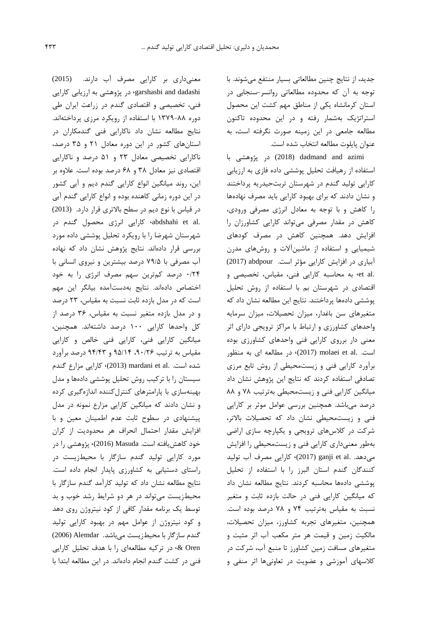جدید، از نتایج چنین مطالعاتی بسیار منتفع میشوند. با توجه به آن که محدوده مطالعاتی روانسر-سنجابی در استان کرمانشاه یکی از مناطق مهم کشت این محصول استراتژیک بهشمار رفته و در این محدوده تاکنون مطالعه جامعی در این زمینه صورت نگرفته است، به عنوان پایلوت مطالعه انتخاب شده است.

azimi and dadmand) 2018 (در پژوهشی با استفاده از رهیافت تحلیل پوششی داده فازي به ارزیابی کارایی تولید گندم در شهرستان تربتحیدریه پرداختند و نشان دادند که براي بهبود کارایی باید مصرف نهادهها را کاهش و با توجه به معادل انرژي مصرفی ورودي، کاهش در مقدار مصرفی میتواند کارایی کشاورزان را افزایش دهد. همچنین کاهش در مصرف کودهاي شیمیایی و استفاده از ماشینآلات و روشهاي مدرن آبیاري در افزایش کارایی مؤثر است. abdpour) 2017( .al et، به محاسبه کارایی فنی، مقیاس، تخصیصی و اقتصادي در شهرستان بم با استفاده از روش تحلیل پوششی دادهها پرداختند. نتایج این مطالعه نشان داد که متغیرهاي سن باغدار، میزان تحصیلات، میزان سرمایه واحدهاي کشاورزي و ارتباط با مراکز ترویجی داراي اثر معنی دار برروي کارایی فنی واحدهاي کشاورزي بوده است. .al et molaei) 2017(، در مطالعه اي به منظور برآورد کارایی فنی و زیستمحیطی از روش تابع مرزي تصادفی استفاده کردند که نتایج این پژوهش نشان داد میانگین کارایی فنی و زیستمحیطی بهترتیب 78 و 88 درصد میباشد. همچنین بررسی عوامل موثر بر کارایی فنی و زیستمحیطی نشان داد که تحصیلات بالاتر، شرکت در کلاسهاي ترویجی و یکپارچه سازي اراضی بهطور معنیداري کارایی فنی و زیستمحیطی را افزایش میدهد. .al et ganji) 2017(، کارایی مصرف آب تولید کنندگان گندم استان البرز را با استفاده از تحلیل پوششی دادهها محاسبه کردند. نتایج مطالعه نشان داد که میانگین کارایی فنی در حالت بازده ثابت و متغیر نسبت به مقیاس بهترتیب 74 و 78 درصد بوده است. همچنین، متغیرهاي تجربه کشاورز، میزان تحصیلات، مالکیت زمین و قیمت هر متر مکعب آب اثر مثبت و متغیرهاي مسافت زمین کشاورز تا منبع آب، شرکت در کلاسهاي آموزشی و عضویت در تعاونیها اثر منفی و

معنیداري بر کارایی مصرف آب دارند. (2015) garshasbi and dadashi، در پژوهشی به ارزیابی کارایی فنی، تخصیصی و اقتصادي گندم در زراعت ایران طی دوره 1379-88 با استفاده از رویکرد مرزي پرداختهاند. نتایج مطالعه نشان داد ناکارایی فنی گندمکاران در استانهاي کشور در این دوره معادل 21 و 35 درصد، ناکارایی تخصیصی معادل 23 و 51 درصد و ناکارایی اقتصادي نیز معادل 38 و 68 درصد بوده است. علاوه بر این، روند میانگین انواع کارایی گندم دیم و آبی کشور در این دوره زمانی کاهنده بوده و انواع کارایی گندم آبی در قیاس با نوع دیم در سطح بالاتري قرار دارد. (2013) .al et abdshahi، کارایی انرژي محصول گندم در شهرستان شهرضا را با رویکرد تحلیل پوششی داده مورد بررسی قرار دادهاند. نتایج پژوهش نشان داد که نهاده آب مصرفی با 79/5 درصد بیشترین و نیروي انسانی با 0/24 درصد کمترین سهم مصرف انرژي را به خود اختصاص دادهاند. نتایج بهدستآمده بیانگر این مهم است که در مدل بازده ثابت نسبت به مقیاس، 23 درصد و در مدل بازده متغیر نسبت به مقیاس، 36 درصد از کل واحدها کارایی 100 درصد داشتهاند. همچنین، میانگین کارایی فنی، کارایی فنی خالص و کارایی مقیاس به ترتیب ،90/26 95/14 و 94/43 درصد برآورد شده است. .al et mardani) 2013(، کارایی مزارع گندم سیستان را با ترکیب روش تحلیل پوششی دادهها و مدل بهینهسازي با پارامترهاي کنترلکننده اندازهگیري کرده و نشان دادند که میانگین کارایی مزارع نمونه در مدل پیشنهادي در سطوح ثابت عدم اطمینان معین و با افزایش مقدار احتمال انحراف هر محدودیت از کران خود کاهشیافته است. Masuda) 2016(، پژوهشی را در مورد کارایی تولید گندم سازگار با محیطزیست در راستاي دستیابی به کشاورزي پایدار انجام داده است. نتایج مطالعه نشان داد که تولید کارآمد گندم سازگار با محیطزیست میتواند در هر دو شرایط رشد خوب و بد توسط یک برنامه مقدار کافی از کود نیتروژن روي دهد و کود نیتروژن از عوامل مهم در بهبود کارایی تولید گندم سازگار با محیطزیست میباشد. Alemdar) 2006( Oren& ، در ترکیه مطالعهاي را با هدف تحلیل کارایی فنی در کشت گندم انجام دادهاند. در این مطالعه ابتدا با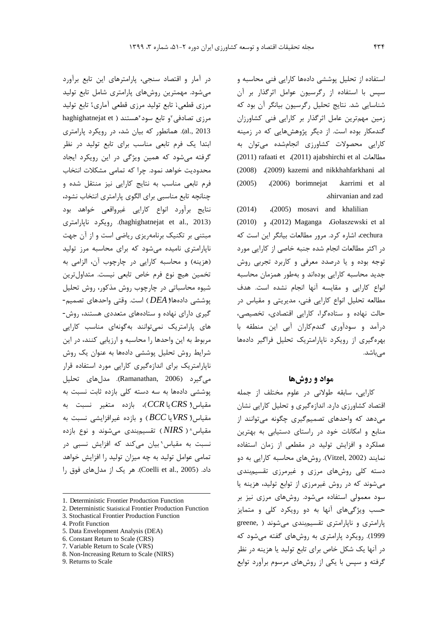استفاده از تحلیل پوششی دادهها کارایی فنی محاسبه و سپس با استفاده از رگرسیون عوامل اثرگذار بر آن شناسایی شد. نتایج تحلیل رگرسیون بیانگر آن بود که زمین مهمترین عامل اثرگذار بر کارایی فنی کشاورزان گندمکار بوده است. از دیگر پژوهشهایی که در زمینه کارایی محصولات کشاورزي انجامشده میتوان به (2011) rafaati et ،(2011) ajabshirchi et al مطالعات (2008) ،(2009) kazemi and nikkhahfarkhani ،al (2005) ،(2006) borimnejat ،karrimi et al ،shirvanian and zad

(2014) ،(2005) mosavi and khalilian (2010) و ،)2012 (Maganga ،Gołaszewski et al cechura، اشاره کرد. مرور مطالعات بیانگر این است که در اکثر مطالعات انجام شده جنبه خاصی از کارایی مورد توجه بوده و یا درصدد معرفی و کاربرد تجربی روش جدید محاسبه کارایی بودهاند و بهطور همزمان محاسبه انواع کارایی و مقایسه آنها انجام نشده است. هدف مطالعه تحلیل انواع کارایی فنی، مدیریتی و مقیاس در حالت نهاده و ستادهگرا، کارایی اقتصادي، تخصیصی، درآمد و سودآوري گندمکاران آبی این منطقه با بهرهگیري از رویکرد ناپارامتریک تحلیل فراگیر دادهها مے باشد.

## **مواد و روشها**

کارایی، سابقه طولانی در علوم مختلف از جمله اقتصاد کشاورزي دارد. اندازهگیري و تحلیل کارایی نشان میدهد که واحدهاي تصمیمگیري چگونه میتوانند از منابع و امکانات خود در راستاي دستیابی به بهترین عملکرد و افزایش تولید در مقطعی از زمان استفاده نمایند (2002 ,Vitzel(. روشهاي محاسبه کارایی به دو دسته کلی روشهاي مرزي و غیرمرزي تقسیمبندي میشوند که در روش غیرمرزي از توابع تولید، هزینه یا سود معمولی استفاده میشود. روشهاي مرزي نیز بر حسب ویژگیهاي آنها به دو رویکرد کلی و متمایز پارامتري و ناپارامتري تقسیمبندي میشوند ( ,greene 1999). رویکرد پارامتري به روشهاي گفته میشود که در آنها یک شکل خاص براي تابع تولید یا هزینه در نظر گرفته و سپس با یکی از روشهاي مرسوم برآورد توابع

در آمار و اقتصاد سنجی، پارامترهاي این تابع برآورد میشود. مهمترین روشهاي پارامتري شامل تابع تولید مرزي قطعی[،](#page-5-0) تابع تولید مرزي قطعی آماري، تابع تولید haghighatnejat et ) مرزی تصادفی "و تابع سود "هستند ( 2013 .,al(. همانطور که بیان شد، در رویکرد پارامتري ابتدا یک فرم تابعی مناسب براي تابع تولید در نظر گرفته میشود که همین ویژگی در این رویکرد ایجاد محدودیت خواهد نمود. چرا که تمامی مشکلات انتخاب فرم تابعی مناسب به نتایج کارایی نیز منتقل شده و چنانچه تابع مناسبی براي الگوي پارامتري انتخاب نشود، نتایج برآورد انواع کارایی غیرواقعی خواهد بود ناپارامتري رویکرد .)haghighatnejat et al., 2013) مبتنی بر تکنیک برنامهریزي ریاضی است و از آن جهت ناپارامتري نامیده میشود که براي محاسبه مرز تولید (هزینه) و محاسبه کارایی در چارچوب آن، الزامی به تخمین هیچ نوع فرم خاص تابعی نیست. متداولترین شیوه محاسباتی در چارچوب روش مذکور، روش تحلیل [\(](#page-5-4)*DEA* ( است. وقتی واحدهاي تصمیم- <sup>5</sup> پوششی دادهها گیري داراي نهاده و ستادههاي متعددي هستند، روش- هاي پارامتریک نمیتوانند بهگونهاي مناسب کارایی مربوط به این واحدها را محاسبه و ارزیابی کنند، در این شرایط روش تحلیل پوششی دادهها به عنوان یک روش ناپارامتریک براي اندازهگیري کارایی مورد استفاده قرار میگیرد (2006 ,Ramanathan(. مدلهاي تحلیل پوششی دادهها به سه دسته کلی بازده ثابت نسبت به [\(](#page-5-5) *CRS*یا *CCR*(، بازده متغیر نسبت به <sup>6</sup> مقیاس مقیاس[\(](#page-5-6) VRS یا BCC) و بازده غیرافزایشی نسبت به مقیاس^ ( *NIRS*) تقسیمبندی میشوند و نوع بازده نسبت به مقیاس بیان میکند که افزایش نسبی در تمامی عوامل تولید به چه میزان تولید را افزایش خواهد داد. (2005 .,al et Coelli(. هر یک از مدلهاي فوق را

 $\overline{a}$ 

- <span id="page-5-5"></span><span id="page-5-4"></span>5. Data Envelopment Analysis (DEA)
- 6. Constant Return to Scale (CRS)
- <span id="page-5-6"></span>7. Variable Return to Scale (VRS) 8. Non-Increasing Return to Scale (NIRS)

<sup>1.</sup> Deterministic Frontier Production Function

<span id="page-5-1"></span><span id="page-5-0"></span><sup>2.</sup> Deterministic Statistical Frontier Production Function

<span id="page-5-2"></span><sup>3.</sup> Stochastical Frontier Production Function

<span id="page-5-3"></span><sup>4.</sup> Profit Function

<span id="page-5-8"></span><span id="page-5-7"></span><sup>9.</sup> Returns to Scale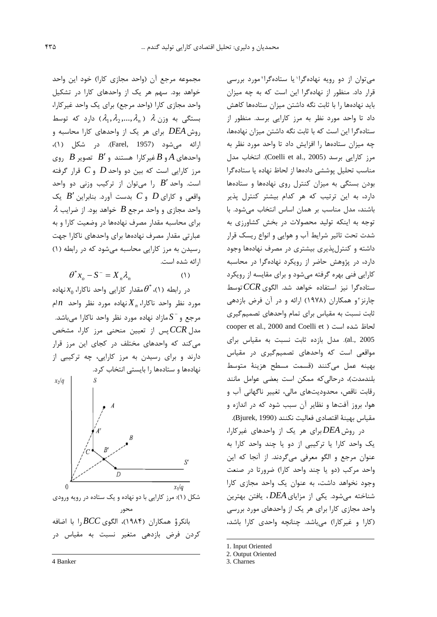میتوان از دو رویه نهادهگرا یا ستادهگرا مورد بررسی قرار داد. منظور از نهادهگرا این است که به چه میزان باید نهادهها را با ثابت نگه داشتن میزان ستادهها کاهش داد تا واحد مورد نظر به مرز کارایی برسد. منظور از ستادهگرا این است که با ثابت نگه داشتن میزان نهادهها، چه میزان ستادهها را افزایش داد تا واحد مورد نظر به مرز کارایی برسد (2005 .Coelli et al). انتخاب مدل مناسب تحلیل پوششی دادهها از لحاظ نهاده یا ستادهگرا بودن بستگی به میزان کنترل روي نهادهها و ستادهها دارد، به این ترتیب که هر کدام بیشتر کنترل پذیر باشند، مدل مناسب بر همان اساس انتخاب میشود. با توجه به اینکه تولید محصولات در بخش کشاورزي به شدت تحت تاثیر شرایط آب و هوایی و انواع ریسک قرار داشته و کنترلپذیري بیشتري در مصرف نهادهها وجود دارد، در پژوهش حاضر از رویکرد نهادهگرا در محاسبه کارایی فنی بهره گرفته میشود و براي مقایسه از رویکرد ستادهگرا نیز استفاده خواهد شد. الگوي *CCR*توسط چارنز[3](#page-6-2) و همکاران (1978) ارائه و در آن فرض بازدهی ثابت نسبت به مقیاس براي تمام واحدهاي تصمیمگیري cooper et al., 2000 and Coelli et ) است شده لحاظ 2005 .,al(. مدل بازده ثابت نسبت به مقیاس براي مواقعی است که واحدهاي تصمیمگیري در مقیاس بهینه عمل میکنند (قسمت مسطح هزینۀ متوسط بلندمدت)، درحالیکه ممکن است بعضی عوامل مانند رقابت ناقص، محدودیتهاي مالی، تغییر ناگهانی آب و هوا، بروز آفتها و نظایر آن سبب شود که در اندازه و مقیاس بهینۀ اقتصادي فعالیت نکنند (1990 ,Bjurek(.

در روش*DEA* براي هر یک از واحدهاي غیرکارا، یک واحد کارا یا ترکیبی از دو یا چند واحد کارا به عنوان مرجع و الگو معرفی میگردند. از آنجا که این واحد مرکب (دو یا چند واحد کارا) ضرورتا در صنعت وجود نخواهد داشت، به عنوان یک واحد مجازي کارا شناخته میشود. یکی از مزایاي*DEA* ، یافتن بهترین واحد مجازي کارا براي هر یک از واحدهاي مورد بررسی (کارا و غیرکارا) میباشد. چنانچه واحدي کارا باشد،

1. Input Oriented

3. Charnes

-

مجموعه مرجع آن (واحد مجازي کارا) خود این واحد خواهد بود. سهم هر یک از واحدهاي کارا در تشکیل واحد مجازي کارا (واحد مرجع) براي یک واحد غیرکارا،  $\lambda$  بستگی به وزن  $\lambda$  (, $\lambda_1, \lambda_2, ..., \lambda_n$ ) دارد که توسط روش*DEA* براي هر یک از واحدهاي کارا محاسبه و ارائه میشود (1957 ,Farel(. در شکل (1)، واحدهاي*A* و *B* غیرکارا هستند و ′*B* تصویر *B* روي مرز کارایی است که بین دو واحد *D* و *C* قرار گرفته است. واحد ′*B* را میتوان از ترکیب وزنی دو واحد واقعی و کاراي *D* و *C* بدست آورد. بنابراین ′*B* یک واحد مجازي و واحد مرجع *B* خواهد بود. از ضرایب <sup>λ</sup> براي محاسبه مقدار مصرف نهادهها در وضعیت کارا و به عبارتی مقدار مصرف نهادهها براي واحدهاي ناکارا جهت رسیدن به مرز کارایی محاسبه میشود که در رابطه (1) ارائه شده است.

$$
\theta^* x_o - S^- = X_n \lambda_n \tag{1}
$$

در رابطه (۱)،  $\theta^{^*}$ مقدار کارایی واحد ناکارا،  $\chi_0$ نهاده نهاده مورد نظر واحد *n* ام *Xn* مورد نظر واحد ناکارا، *S* مازاد نهاده مورد نظر واحد ناکارا میباشد. <sup>−</sup> مرجع و مدل *CCR*پس از تعیین منحنی مرز کارا، مشخص میکند که واحدهاي مختلف در کجاي این مرز قرار دارند و براي رسیدن به مرز کارایی، چه ترکیبی از نهادهها و ستادهها را بایستی انتخاب کرد.



[و](#page-6-2) همکاران (1984)، الگوي *BCC* را با اضافه <sup>4</sup> بانکر کردن فرض بازدهی متغیر نسبت به مقیاس در

محور

<span id="page-6-0"></span> $\overline{a}$ 

<sup>2.</sup> Output Oriented

<span id="page-6-2"></span><span id="page-6-1"></span><sup>4</sup> Banker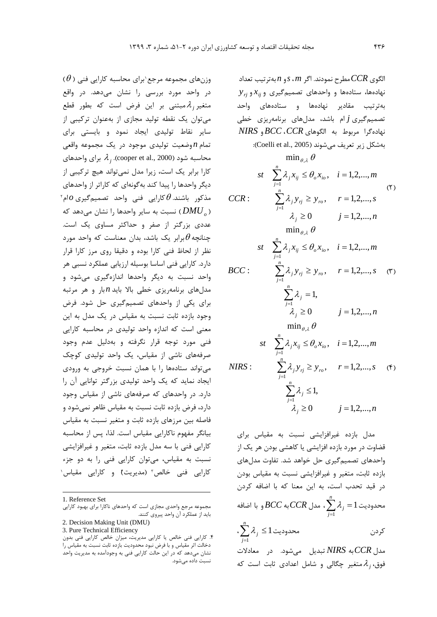$\left(\theta\right)$ برای محاسبه کارایی فنی (  $\theta$ ) وزنهای مجموعه مرجع در واحد مورد بررسی را نشان میدهد. در واقع مبتنی بر این فرض است که بطور قطع *<sup>j</sup>* <sup>λ</sup> متغیر میتوان یک نقطه تولید مجازي از بهعنوان ترکیبی از سایر نقاط تولیدي ایجاد نمود و بایستی براي تمام *n* وضعیت تولیدي موجود در یک مجموعه واقعی  $\lambda$ , (cooper et al., 2000). براي واحدهاي کارا برابر یک است، زیرا مدل نمیتواند هیچ ترکیبی از دیگر واحدها را پیدا کند بهگونهاي که کاراتر از واحدهاي  $\partial$  مذکور باشند. $\theta$ کارایی فنی واحد تصمیمگیری دهد که *DMUo* ( نسبت به سایر واحدها را نشان می ( عددي بزرگتر از صفر و حداکثر مساوي یک است. چنانچه $\theta$ برابر یک باشد، بدان معناست که واحد مورد نظر از لحاظ فنی کارا بوده و دقیقا روي مرز کارا قرار دارد. کارایی فنی اساسا بوسیله ارزیابی عملکرد نسبی هر واحد نسبت به دیگر واحدها اندازهگیري میشود و مدلهاي برنامهریزي خطی بالا باید *n* بار و هر مرتبه براي یکی از واحدهاي تصمیمگیري حل شود. فرض وجود بازده ثابت نسبت به مقیاس در یک مدل به این معنی است که اندازه واحد تولیدي در محاسبه کارایی فنی مورد توجه قرار نگرفته و بهدلیل عدم وجود صرفههاي ناشی از مقیاس، یک واحد تولیدي کوچک میتواند ستادهها را با همان نسبت خروجی به ورودي ایجاد نماید که یک واحد تولیدي بزرگتر توانایی آن را دارد. در واحدهاي که صرفههاي ناشی از مقیاس وجود دارد، فرض بازده ثابت نسبت به مقیاس ظاهر نمیشود و فاصله بین مرزهاي بازده ثابت و متغیر نسبت به مقیاس بیانگر مفهوم ناکارایی مقیاس است. لذا، پس از محاسبه کارایی فنی با سه مدل بازده ثابت، متغیر و غیرافزایشی نسبت به مقیاس، میتوان کارایی فنی را به دو جزء کارایی فنی خالص۳ (مدیریت[\)](#page-7-3)ّ و کارایی مقیاس ٰ

[1.](#page-7-4) Reference Set

 $\overline{a}$ 

<span id="page-7-2"></span><span id="page-7-1"></span>3. Pure Technical Efficiency

 ${\bf y}_{rj}$  نهادهها، ستادهها و واحدهای تصمیمگیری و  ${\bf x}_{ij}$ و بهترتیب مقادیر نهادهها و ستادههاي واحد تصمیمگیري *j* ام باشد، مدلهاي برنامهریزي خطی نهادهگرا مربوط به الگوهاي *CCR*، *BCC* و *NIRS* بهشکل زیر تعریف میشوند (Coelli et al., 2005):  $(5)$  $\lambda_j \ge 0$   $j = 1,2,...,n$  $CCR: \sum \lambda_i y_{ri} \geq y_{ro}, \quad r = 1, 2, ..., s$  $st$   $\sum \lambda_i x_{ii} \leq \theta_o x_{io}, \quad i = 1, 2, ..., m$ *n j* :  $\sum \lambda_j y_{rj} \ge y_{ro}$ ,  $r = 1, 2, ...,$ *n j*  $j_i x_{ij} \leq \theta_o x_{io}, \quad i = 1,2,...,$  $\min_{\theta, \lambda} \theta$ 1 1  $\sum_{j=1} \lambda_j y_{rj} \ge y_{ro}, \quad r =$  $\sum_{j=1} \lambda_j x_{ij} \leq \theta_o x_{io}, \quad i =$ λ  $\lambda$  ,  $x_v \leq \theta$  $BCC:$   $\sum \lambda_j y_{rj} \ge y_{ro}, \quad r = 1, 2, ..., s$  (٣)  $j \ge 0$   $j = 1, 2, ..., n$  $st$   $\sum \lambda_i x_{ii} \leq \theta_o x_{io}, \quad i = 1, 2, ..., m$ *n j j n j* :  $\sum \lambda_j y_{rj} \ge y_{ro}$ ,  $r = 1, 2, ...,$ *n j*  $j_{j} x_{ij} \leq \theta_{o} x_{io}, \quad i = 1, 2, ...,$ 0  $j = 1,2,...,$ 1,  $\min_{\theta, \lambda} \theta$ 1 1 1 ,  $\geq 0$   $j=$  $\sum_{j=1} \lambda_j =$  $\sum_{j=1} \lambda_j y_{rj} \ge y_{ro}, \quad r =$  $\sum_{j=1} \lambda_j x_{ij} \leq \theta_o x_{io}, \quad i =$ λ λ λ  $\lambda$  ,  $x_v \leq \theta$  $NIRS: \sum \lambda_j y_{rj} \ge y_{ro}, \quad r = 1, 2, ..., s$  (4)  $\lambda_j \ge 0$   $j = 1, 2, ..., n$  $st$   $\sum \lambda_i x_{ii} \leq \theta_o x_{io}, \quad i = 1, 2, ..., m$ *n j*  $j \leq 1$ *n j* :  $\sum \lambda_j y_{rj} \ge y_{ro}$ ,  $r = 1, 2, ...,$ *n j*  $i_j x_{ij} \leq \theta_o x_{io}, \quad i = 1, 2, ...,$  $\min_{\theta, \lambda} \theta$ 1 1 1 ,  $\sum_{j=1} \mathcal{X}_j \leq$  $\sum_{j=1} \lambda_j y_{rj} \ge y_{ro}, \quad r =$  $\sum_{j=1} \lambda_j x_{ij} \leq \theta_o x_{io}, \quad i =$ λ λ  $\lambda$  ,  $x_{ii} \le \theta$ 

الگوي *CCR*مطرح نمودند. اگر *m* ،*s*و *n* بهترتیب تعداد

مدل بازده غیرافزایشی نسبت به مقیاس براي قضاوت در مورد بازده افزایشی یا کاهشی بودن هر یک از واحدهاي تصمیمگیري حل خواهد شد. تفاوت مدلهاي بازده ثابت، متغیر و غیرافزایشی نسبت به مقیاس بودن در قید تحدب است، به این معنا که با اضافه کردن  $\displaystyle\sum_{j=1}^n\mathcal{X}_j=1$  محدودیت *j j* 1 1 <sup>λ</sup> ، مدل *CCR*به *BCC* و با اضافه  $\sum_{j=1}^n \lambda_j \leq 1$  کردن محدودیت  $\lambda_j$ *j j* 1  $\sum \lambda_i \leq 1$ مدل *CCR*به *NIRS* تبدیل میشود. در معادلات متغیر چگالی و شامل اعدادي ثابت است که *<sup>j</sup>* <sup>λ</sup> فوق،

<span id="page-7-0"></span>مجموعه مرجع واحدي مجازي است که واحدهاي ناکارا براي بهبود کارایی باید از عملکرد آن واحد پیروي کنند. 2. Decision Making Unit (DMU)

<span id="page-7-4"></span><span id="page-7-3"></span><sup>.4</sup> کارایی فنی خالص یا کارایی مدیریت، میزان خالص کارایی فنی بدون دخالت اثر مقیاس و با فرض نبود محدودیت بازده ثابت نسبت به مقیاس را نشان میدهد که در این حالت کارایی فنی به وجودآمده به مدیریت واحد نسبت داده میشود.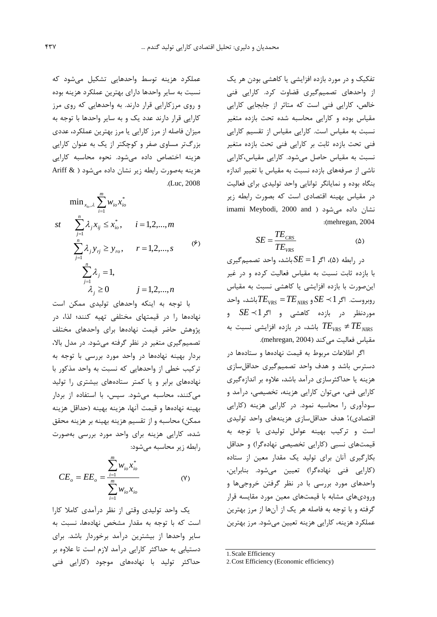تفکیک و در مورد بازده افزایشی یا کاهشی بودن هر یک از واحدهاي تصمیمگیري قضاوت کرد. کارایی فنی خالص، کارایی فنی است که متاثر از جابجایی کارایی مقیاس بوده و کارایی محاسبه شده تحت بازده متغیر نسبت به مقیاس است. کارایی مقیاس از تقسیم کارایی فنی تحت بازده ثابت بر کارایی فنی تحت بازده متغیر نسبت به مقیاس حاصل میشود. کارایی مقیاس،کارایی ناشی از صرفههاي بازده نسبت به مقیاس با تغییر اندازه بنگاه بوده و نمایانگر توانایی واحد تولیدي براي فعالیت در مقیاس بهینه اقتصادي است که بصورت رابطه زیر imami Meybodi, 2000 and ) نشان داده می شود :(mehregan, 2004

$$
SE = \frac{TE_{CRS}}{TE_{VRS}}\tag{a}
$$

در رابطه (5)، اگر1= *SE* باشد، واحد تصمیمگیري با بازده ثابت نسبت به مقیاس فعالیت کرده و در غیر اینصورت با بازده افزایشی یا کاهشی نسبت به مقیاس باشد، واحد *TENIRS* = *TEVRS* روبروست. اگر1 *SE* و موردنظر در بازده کاهشی و اگر1 *SE* و باشد، در بازده افزایشی نسبت به  $TE_{\rm VRS}\neq TE_{\rm VIRS}$ مقیاس فعالیت می کند (mehregan, 2004).

اگر اطلاعات مربوط به قیمت نهادهها و ستادهها در دسترس باشد و هدف واحد تصمیمگیري حداقلسازي هزینه یا حداکثرسازي درآمد باشد، علاوه بر اندازهگیري کارایی فنی، میتوان کارایی هزینه، تخصیصی، درآمد و سودآوري را محاسبه نمود. در کارایی هزینه (کارایی اقتصادي)، هدف حداقلسازي هزينههاي واحد توليدي است و ترکیب بهینه عوامل تولیدي با توجه به قیمتهاي نسبی (کارایی تخصیصی نهادهگرا) و حداقل بکارگیري آنان براي تولید یک مقدار معین از ستاده (کارایی فنی نهادهگرا) تعیین میشود. بنابراین، واحدهاي مورد بررسی با در نظر گرفتن خروجیها و وروديهاي مشابه با قیمتهاي معین مورد مقایسه قرار گرفته و با توجه به فاصله هر یک از آنها از مرز بهترین عملکرد هزینه، کارایی هزینه تعیین میشود. مرز بهترین

[1.](#page-8-0)Scale Efficiency

عملکرد هزینه توسط واحدهایی تشکیل میشود که نسبت به سایر واحدها داراي بهترین عملکرد هزینه بوده و روي مرزکارایی قرار دارند. به واحدهایی که روي مرز کارایی قرار دارند عدد یک و به سایر واحدها با توجه به میزان فاصله از مرز کارایی یا مرز بهترین عملکرد، عددي بزرگتر مساوي صفر و کوچکتر از یک به عنوان کارایی هزینه اختصاص داده میشود. نحوه محاسبه کارایی هزینه بهصورت رابطه زیر نشان داده میشود ( & Ariff .(Luc, 2008

$$
\min_{x_{io}, \lambda} \sum_{i=1}^{m} w_{io} x_{io}^{*}
$$
\n
$$
st \sum_{j=1}^{n} \lambda_{j} x_{ij} \le x_{io}^{*}, \quad i = 1, 2, ..., m
$$
\n
$$
\sum_{j=1}^{n} \lambda_{j} y_{rj} \ge y_{ro}, \quad r = 1, 2, ..., s
$$
\n
$$
\sum_{j=1}^{n} \lambda_{j} = 1,
$$
\n
$$
\lambda_{j} \ge 0 \qquad j = 1, 2, ..., n
$$
\n
$$
(5)
$$

با توجه به اینکه واحدهاي تولیدي ممکن است نهادهها را در قیمتهاي مختلفی تهیه کنند؛ لذا، در پژوهش حاضر قیمت نهادهها براي واحدهاي مختلف تصمیمگیري متغیر در نظر گرفته میشود. در مدل بالا، بردار بهینه نهادهها در واحد مورد بررسی با توجه به ترکیب خطی از واحدهایی که نسبت به واحد مذکور با نهادههاي برابر و یا کمتر ستادههاي بیشتري را تولید میکنند، محاسبه میشود. سپس، با استفاده از بردار بهینه نهادهها و قیمت آنها، هزینه بهینه (حداقل هزینه ممکن) محاسبه و از تقسیم هزینه بهینه بر هزینه محقق شده، کارایی هزینه براي واحد مورد بررسی بهصورت رابطه زیر محاسبه میشود:

$$
CE_o = EE_o = \frac{\sum_{i=1}^{m} w_{io} x_{io}^{*}}{\sum_{i=1}^{m} w_{io} x_{io}}
$$
 (Y)

<span id="page-8-0"></span>یک واحد تولیدي وقتی از نظر درآمدي کاملا کارا است که با توجه به مقدار مشخص نهادهها، نسبت به سایر واحدها از بیشترین درآمد برخوردار باشد. براي دستیابی به حداکثر کارایی درآمد لازم است تا علاوه بر حداکثر تولید با نهادههاي موجود (کارایی فنی

<sup>2.</sup>Cost Efficiency (Economic efficiency)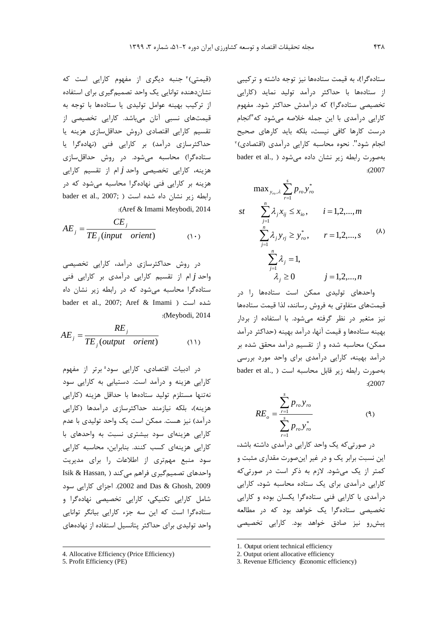(قیمتی) ٔ جنبه دیگری از مفهوم کارایی است که نشاندهنده توانایی یک واحد تصمیمگیري براي استفاده از ترکیب بهینه عوامل تولیدي یا ستادهها با توجه به قیمتهاي نسبی آنان میباشد. کارایی تخصیصی از تقسیم کارایی اقتصادي (روش حداقلسازي هزینه یا حداکثرسازي درآمد) بر کارایی فنی (نهادهگرا یا ستادهگرا) محاسبه میشود. در روش حداقلسازي هزینه، کارایی تخصیصی واحد *j* ام از تقسیم کارایی هزینه بر کارایی فنی نهادهگرا محاسبه میشود که در  $b$ رابطه زیر نشان داه شده است ( ;2007 .) bader et al., 2007 :(Aref & Imami Meybodi, 2014

$$
AE_j = \frac{CE_j}{TE_j(input\;orient)}\tag{1-}
$$

در روش حداکثرسازي درآمد، کارایی تخصیصی واحد *j* ام از تقسیم کارایی درآمدي بر کارایی فنی ستادهگرا محاسبه میشود که در رابطه زیر نشان داه bader et al., 2007; Aref & Imami ) است شده :(Meybodi, 2014

*TE* (*output orient*) (11) *RE AE j j j* =

در ادبیات اقتصادی، کارایی سود<sup>ه</sup> برتر از مفهوم کارایی هزینه و درآمد است. دستیابی به کارایی سود نهتنها مستلزم تولید ستادهها با حداقل هزینه (کارایی هزینه)، بلکه نیازمند حداکثرسازي درآمدها (کارایی درآمد) نیز هست. ممکن است یک واحد تولیدي با عدم کارایی هزینهاي سود بیشتري نسبت به واحدهاي با کارایی هزینهاي کسب کنند. بنابراین، محاسبه کارایی سود منبع مهمتري از اطلاعات را براي مدیریت واحدهای تصمیم گیری فراهم میکند ( ,Isik & Hassan 2009 ,Ghosh & Das and 2002(. اجزاي کارایی سود شامل کارایی تکنیکی، کارایی تخصیصی نهادهگرا و ستادهگرا است که این سه جزء کارایی بیانگر توانایی واحد تولیدي براي حداکثر پتانسیل استفاده از نهادههاي

 $\overline{a}$ 

ستادهگرا1[\)](#page-9-0)، به قیمت ستادهها نیز توجه داشته و ترکیبی از ستادهها با حداکثر درآمد تولید نماید (کارایی تخصیصی ستادهگرا[\)](#page-9-1) که درآمدش حداکثر شود. مفهوم کارایی درآمدي با این جمله خلاصه میشود که"انجام درست کارها کافی نیست، بلکه باید کارهاي صحیح [3](#page-9-2) انجام شود". نحوه محاسبه کارایی درآمدي (اقتصادي) بهصورت رابطه زیر نشان داده می شود ( .bader et al :(2007

$$
\max_{y_{r_o}, \lambda} \sum_{r=1}^{s} p_{r_o} y_{r_o}^*
$$
\n
$$
st \quad \sum_{j=1}^{n} \lambda_j x_{ij} \le x_{i_o}, \quad i = 1, 2, ..., m
$$
\n
$$
\sum_{j=1}^{n} \lambda_j y_{r_j} \ge y_{r_o}^*, \quad r = 1, 2, ..., s
$$
\n
$$
\sum_{j=1}^{n} \lambda_j = 1,
$$
\n
$$
\lambda_j \ge 0 \quad j = 1, 2, ..., n
$$

واحدهاي تولیدي ممکن است ستادهها را در قیمتهاي متفاوتی به فروش رسانند، لذا قیمت ستادهها نیز متغیر در نظر گرفته میشود. با استفاده از بردار بهینه ستادهها و قیمت آنها، درآمد بهینه (حداکثر درآمد ممکن) محاسبه شده و از تقسیم درآمد محقق شده بر درآمد بهینه، کارایی درآمدي براي واحد مورد بررسی بهصورت رابطه زیر قابل محاسبه است ( .bader et al :(2007

$$
RE_o = \frac{\sum_{r=1}^{s} p_{ro} y_{ro}}{\sum_{r=1}^{s} p_{ro} y_{ro}^*}
$$
 (9)

در صورتیکه یک واحد کارایی درآمدي داشته باشد، این نسبت برابر یک و در غیر اینصورت مقداري مثبت و کمتر از یک میشود. لازم به ذکر است در صورتیکه کارایی درآمدي براي یک ستاده محاسبه شود، کارایی درآمدي با کارایی فنی ستادهگرا یکسان بوده و کارایی تخصیصی ستادهگرا یک خواهد بود که در مطالعه پیشرو نیز صادق خواهد بود. کارایی تخصیصی

 $\overline{a}$ 

<span id="page-9-1"></span><span id="page-9-0"></span><sup>4.</sup> Allocative Efficiency (Price Efficiency)

<span id="page-9-2"></span><sup>5.</sup> Profit Efficiency (PE)

<sup>1.</sup> Output orient technical efficiency

<sup>2.</sup> Output orient allocative efficiency

<sup>3.</sup> Revenue Efficiency (Economic efficiency)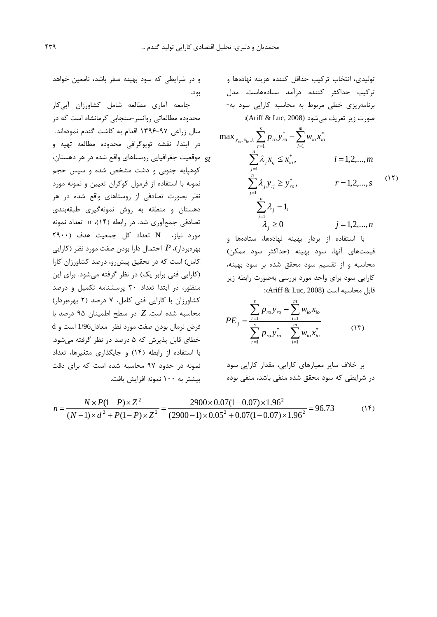تولیدي، انتخاب ترکیب حداقل کننده هزینه نهادهها و ترکیب حداکثر کننده درآمد ستادههاست. مدل برنامهریزي خطی مربوط به محاسبه کارایی سود به- صورت زیر تعریف می شود (Ariff & Luc, 2008):

$$
\max_{y_{ro}, x_{io}, \lambda} \sum_{r=1}^{s} p_{ro} y_{ro}^{*} - \sum_{i=1}^{m} w_{io} x_{io}^{*}
$$
\n
$$
st \qquad \sum_{j=1}^{n} \lambda_{j} x_{ij} \le x_{io}^{*}, \qquad i = 1, 2, ..., m
$$
\n
$$
\sum_{j=1}^{n} \lambda_{j} y_{rj} \ge y_{ro}^{*}, \qquad r = 1, 2, ..., s
$$
\n
$$
\sum_{j=1}^{n} \lambda_{j} = 1,
$$
\n
$$
\lambda_{j} \ge 0 \qquad j = 1, 2, ..., n
$$
\n
$$
(17)
$$

با استفاده از بردار بهینه نهادهها، ستادهها و قیمتهاي آنها، سود بهینه (حداکثر سود ممکن) محاسبه و از تقسیم سود محقق شده بر سود بهینه، کارایی سود براي واحد مورد بررسی بهصورت رابطه زیر قابل محاسبه است (2008 Ariff & Luc):

$$
PE_{j} = \frac{\sum_{r=1}^{s} p_{ro} y_{ro} - \sum_{i=1}^{m} w_{io} x_{io}}{\sum_{r=1}^{s} p_{ro} y_{ro}^{*} - \sum_{i=1}^{m} w_{io} x_{io}^{*}}
$$
(15)

بر خلاف سایر معیارهاي کارایی، مقدار کارایی سود در شرایطی که سود محقق شده منفی باشد، منفی بوده

$$
n = \frac{N \times P(1 - P) \times Z^2}{(N - 1) \times d^2 + P(1 - P) \times Z^2} = \frac{2900 \times 0.07(1 - 0.07) \times 1.96^2}{(2900 - 1) \times 0.05^2 + 0.07(1 - 0.07) \times 1.96^2} = 96.73
$$
 (15)

بود.

جامعه آماري مطالعه شامل کشاورزان آبیکار محدوده مطالعاتی روانسر-سنجابی کرمانشاه است که در سال زراعی 1396-97 اقدام به کاشت گندم نمودهاند. در ابتدا، نقشه توپوگرافی محدوده مطالعه تهیه و

و در شرایطی که سود بهینه صفر باشد، نامعین خواهد

موقعیت جغرافیایی روستاهاي واقع شده در هر دهستان، کوهپایه جنوبی و دشت مشخص شده و سپس حجم نمونه با استفاده از فرمول کوکران تعیین و نمونه مورد نظر بصورت تصادفی از روستاهاي واقع شده در هر دهستان و منطقه به روش نمونهگیري طبقهبندي تصادفی جمعآوري شد. در رابطه (14)، n تعداد نمونه مورد نیاز، N تعداد کل جمعیت هدف (2900 بهرهبردار)، *P* احتمال دارا بودن صفت مورد نظر (کارایی کامل) است که در تحقیق پیشرو، درصد کشاورزان کارا (کارایی فنی برابر یک) در نظر گرفته میشود. براي این منظور، در ابتدا تعداد 30 پرسشنامه تکمیل و درصد کشاورزان با کارایی فنی کامل، 7 درصد (2 بهرهبردار) محاسبه شده است. *Z* در سطح اطمینان 95 درصد با فرض نرمال بودن صفت مورد نظر معادل1/96 است و d خطاي قابل پذیرش که 5 درصد در نظر گرفته میشود. با استفاده از رابطه (14) و جایگذاري متغیرها، تعداد نمونه در حدود 97 محاسبه شده است که براي دقت بیشتر به 100 نمونه افزایش یافت.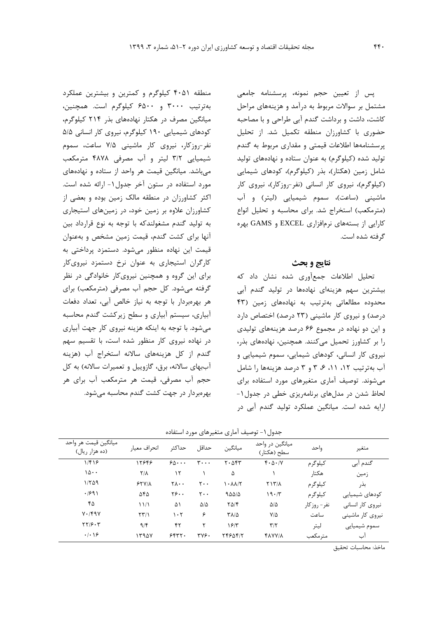پس از تعیین حجم نمونه، پرسشنامه جامعی مشتمل بر سوالات مربوط به درآمد و هزینههاي مراحل کاشت، داشت و برداشت گندم آبی طراحی و با مصاحبه حضوري با کشاورزان منطقه تکمیل شد. از تحلیل پرسشنامهها اطلاعات قیمتی و مقداري مربوط به گندم تولید شده (کیلوگرم) به عنوان ستاده و نهادههاي تولید شامل زمین (هکتار)، بذر (کیلوگرم)، کودهاي شیمایی (کیلوگرم)، نیروي کار انسانی (نفر-روزکار)، نیروي کار ماشینی (ساعت)، سموم شیمیایی (لیتر) و آب (مترمکعب) استخراج شد. براي محاسبه و تحلیل انواع کارایی از بستههاي نرمافزاري EXCEL و GAMS بهره گرفته شده است.

### **نتایج و بحث**

تحلیل اطلاعات جمعآوري شده نشان داد که بیشترین سهم هزینهاي نهادهها در تولید گندم آبی محدوده مطالعاتی بهترتیب به نهادههاي زمین (43 درصد) و نیروي کار ماشینی (23 درصد) اختصاص دارد و این دو نهاده در مجموع 66 درصد هزینههاي تولیدي را بر کشاورز تحمیل میکنند. همچنین، نهادههاي بذر، نیروي کار انسانی، کودهاي شیمایی، سموم شیمیایی و آب بهترتیب ،12 ،11 ،6 3 و 3 درصد هزینهها را شامل میشوند. توصیف آماري متغیرهاي مورد استفاده براي لحاظ شدن در مدلهاي برنامهریزي خطی در جدول-1 ارایه شده است. میانگین عملکرد تولید گندم آبی در

منطقه 4051 کیلوگرم و کمترین و بیشترین عملکرد بهترتیب 3000 و 6500 کیلوگرم است. همچنین، میانگین مصرف در هکتار نهادههاي بذر 214 کیلوگرم، کودهاي شیمیایی 190 کیلوگرم، نیروي کار انسانی 5/5 نفر-روزکار، نیروي کار ماشینی 7/5 ساعت، سموم شیمیایی 3/2 لیتر و آب مصرفی 4878 مترمکعب میباشد. میانگین قیمت هر واحد از ستاده و نهادههاي مورد استفاده در ستون آخر جدول-1 ارائه شده است. اکثر کشاورزان در منطقه مالک زمین بوده و بعضی از کشاورزان علاوه بر زمین خود، در زمینهاي استیجاري به تولید گندم مشغولندکه با توجه به نوع قرارداد بین آنها براي کشت گندم، قیمت زمین مشخص و بهعنوان قیمت این نهاده منظور میشود. دستمزد پرداختی به کارگران استیجاري به عنوان نرخ دستمزد نیرويکار براي این گروه و همچنین نیرويکار خانوادگی در نظر گرفته میشود. کل حجم آب مصرفی (مترمکعب) براي هر بهرهبردار با توجه به نیاز خالص آبی، تعداد دفعات آبیاري، سیستم آبیاري و سطح زیرکشت گندم محاسبه میشود. با توجه به اینکه هزینه نیروي کار جهت آبیاري در نهاده نیروي کار منظور شده است، با تقسیم سهم گندم از کل هزینههاي سالانه استخراج آب (هزینه آببهاي سالانه، برق، گازوییل و تعمیرات سالانه) به کل حجم آب مصرفی، قیمت هر مترمکعب آب براي هر بهرهبردار در جهت کشت گندم محاسبه میشود.

جدول-1 توصیف آماري متغیرهاي مورد استفاده

| ميانگين قيمت هر واحد<br>(ده هزار ريال)                | انحراف معيار                   | حداكثر                     | حداقل                          | ميانگين                | میانگین در واحد<br>سطح (هکتار) | واحد          | متغير            |
|-------------------------------------------------------|--------------------------------|----------------------------|--------------------------------|------------------------|--------------------------------|---------------|------------------|
| 1/f19                                                 | 12848                          | $50 \cdots$                | $\mathbf{r} \cdot \cdot \cdot$ | $Y \cdot \Delta Y Y$   | $f \cdot \Delta \cdot / V$     | کیلوگر م      | گندم آبی         |
| ۱۵۰۰                                                  | $\mathsf{Y}/\mathsf{A}$        | ۱۲                         |                                | ۵                      |                                | هكتار         | زمين             |
| 1/509                                                 | 55V/A                          | $Y \wedge \cdot \cdot$     | $\mathsf{r}\cdot\mathsf{.}$    | $\lambda$ - $\lambda$  | YY/X                           | كيلوگرم       | بذر              |
| .991                                                  | ۵۴۵                            | $Y\mathcal{G} \cdot \cdot$ | $\mathsf{r}\cdot\mathsf{r}$    | 900/2                  | 19.7                           | كيلوگرم       | كودهاي شيميايي   |
| ۴۵                                                    | 11/1                           | ۵۱                         | $\Delta/\Delta$                | $\Gamma \Delta/\Gamma$ | $\Delta/\Delta$                | نفر – روز کار | نیروی کار انسانی |
| $Y \cdot / f q V$                                     | $\Upsilon \Upsilon / \Upsilon$ | ۱۰۲                        | ۶                              | $T\Lambda/\Delta$      | $V/\Delta$                     | ساعت          | نیروی کار ماشینی |
| $\mathbf{Y} \mathbf{Y} / \mathbf{S} \cdot \mathbf{Y}$ | 9/5                            | ۴۲                         | ۲                              | 15/T                   | $\mathbf{r}/\mathbf{r}$        | ليتر          | سموم شيميايي     |
| . . 9                                                 | 1590Y                          | 5557.                      | <b>٣٧۶٠</b>                    | 7488415                | <b>FAVY/A</b>                  | مترمكعب       | اب               |

ماخذ: محاسبات تحقیق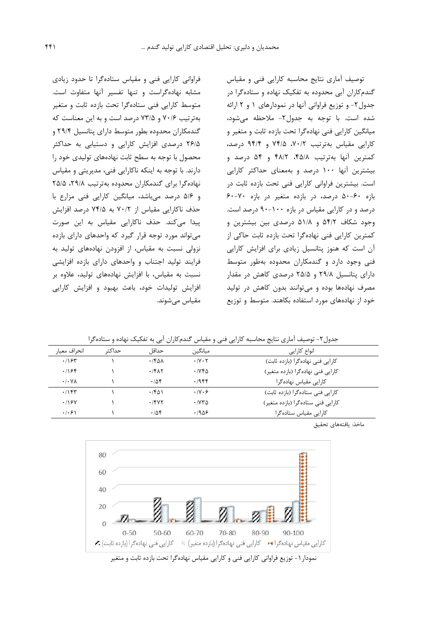توصیف آماري نتایج محاسبه کارایی فنی و مقیاس گندمکاران آبی محدوده به تفکیک نهاده و ستادهگرا در جدول-2 و توزیع فراوانی آنها در نمودارهاي 1 و 2 ارائه شده است. با توجه به جدول-2 ملاحظه میشود، میانگین کارایی فنی نهادهگرا تحت بازده ثابت و متغیر و کارایی مقیاس بهترتیب ،70/2 74/5 و 94/4 درصد، کمترین آنها بهترتیب ،45/8 48/2 و 54 درصد و بیشترین آنها 100 درصد و بهمعناي حداکثر کارایی است. بیشترین فراوانی کارایی فنی تحت بازده ثابت در بازه 50-60 درصد، در بازده متغیر در بازه 60-70 درصد و در کارایی مقیاس در بازه 90-100 درصد است. وجود شکاف 54/2 و 51/8 درصدي بین بیشترین و کمترین کارایی فنی نهادهگرا تحت بازده ثابت حاکی از آن است که هنوز پتانسیل زیادي براي افزایش کارایی فنی وجود دارد و گندمکاران محدوده بهطور متوسط داراي پتانسیل 29/8 و 25/5 درصدي کاهش در مقدار مصرف نهادهها بوده و میتوانند بدون کاهش در تولید خود از نهادههاي مورد استفاده بکاهند. متوسط و توزیع

فراوانی کارایی فنی و مقیاس ستادهگرا تا حدود زیادي مشابه نهادهگراست و تنها تفسیر آنها متفاوت است. متوسط کارایی فنی ستادهگرا تحت بازده ثابت و متغیر بهترتیب 70/6 و 73/5 درصد است و به این معناست که گندمکاران محدوده بطور متوسط داراي پتانسیل 29/4 و 26/5 درصدي افزایش کارایی و دستیابی به حداکثر محصول با توجه به سطح ثابت نهادههاي تولیدي خود را دارند. با توجه به اینکه ناکارایی فنی، مدیریتی و مقیاس نهادهگرا برای گندمکاران محدوده بهترتیب ۲۹/۸، ۲۵/۵ و 5/6 درصد میباشد، میانگین کارایی فنی مزارع با حذف ناکارایی مقیاس از 70/2 به 74/5 درصد افزایش پیدا میکند. حذف ناکارایی مقیاس به این صورت میتواند مورد توجه قرار گیرد که واحدهاي داراي بازده نزولی نسبت به مقیاس، از افزودن نهادههاي تولید به فرایند تولید اجتناب و واحدهاي داراي بازده افزایشی نسبت به مقیاس، با افزایش نهادههاي تولید، علاوه بر افزایش تولیدات خود، باعث بهبود و افزایش کارایی مقیاس میشوند.

جدول-2 توصیف آماري نتایج محاسبه کارایی فنی و مقیاس گندمکاران آبی به تفکیک نهاده و ستادهگرا

| انحراف معيار          | حداكث | حداقل        | ميانگين                                | انواع كارايي                      |
|-----------------------|-------|--------------|----------------------------------------|-----------------------------------|
| .195                  |       | $\cdot$ /۴۵۸ | $\cdot$ /Y $\cdot$ $\cdot$             | كارايي فني نهاده گرا (بازده ثابت) |
| .198                  |       | .7617        | $\cdot$ / $\vee$ $\uparrow$ $\uparrow$ | کارایی فنی نهادهگرا (بازده متغیر) |
| $\cdot$ / $\cdot$ Y A |       | .788         | .1988                                  | کارایی مقیاس نهادهگرا             |
| .78                   |       | .761         | $\cdot$ /Y $\cdot$ 6                   | كارايي فني ستاده گرا (بازده ثابت) |
| .198V                 |       | .7847        | $\cdot$ / $\vee$ $\sim$                | کارایی فنی ستادهگرا (بازده متغیر) |
| .  .9                 |       | .788         | .1908                                  | کارایی مقیاس ستادهگرا             |

ماخذ: یافتههاي تحقیق



نمودار ۱- توزیع فراوانی کارایی فنی و کارایی مقیاس نهادهگرا تحت بازده ثابت و متغیر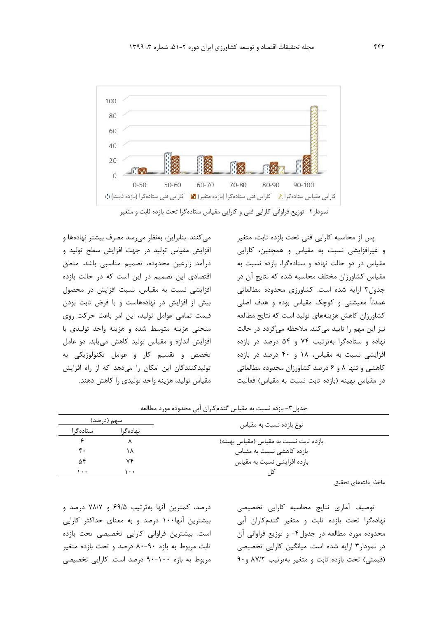

نمودار-2 توزیع فراوانی کارایی فنی و کارایی مقیاس ستادهگرا تحت بازده ثابت و متغیر

میکنند. بنابراین، بهنظر میرسد مصرف بیشتر نهادهها و افزایش مقیاس تولید در جهت افزایش سطح تولید و درآمد زارعین محدوده، تصمیم مناسبی باشد. منطق اقتصادي این تصمیم در این است که در حالت بازده افزایشی نسبت به مقیاس، نسبت افزایش در محصول بیش از افزایش در نهادههاست و با فرض ثابت بودن قیمت تمامی عوامل تولید، این امر باعث حرکت روي منحنی هزینه متوسط شده و هزینه واحد تولیدي با افزایش اندازه و مقیاس تولید کاهش مییابد. دو عامل تخصص و تقسیم کار و عوامل تکنولوژیکی به تولیدکنندگان این امکان را میدهد که از راه افزایش مقیاس تولید، هزینه واحد تولیدي را کاهش دهند.

پس از محاسبه کارایی فنی تحت بازده ثابت، متغیر و غیرافزایشی نسبت به مقیاس و همچنین، کارایی مقیاس در دو حالت نهاده و ستادهگرا، بازده نسبت به مقیاس کشاورزان مختلف محاسبه شده که نتایج آن در جدول3 ارایه شده است. کشاورزي محدوده مطالعاتی عمدتاً معیشتی و کوچک مقیاس بوده و هدف اصلی کشاورزان کاهش هزینههاي تولید است که نتایج مطالعه نیز این مهم را تایید میکند. ملاحظه میگردد در حالت نهاده و ستادهگرا بهترتیب 74 و 54 درصد در بازده افزایشی نسبت به مقیاس، 18 و 40 درصد در بازده کاهشی و تنها 8 و 6 درصد کشاورزان محدوده مطالعاتی در مقیاس بهینه (بازده ثابت نسبت به مقیاس) فعالیت

جدول-3 بازده نسبت به مقیاس گندمکاران آبی محدوده مورد مطالعه

| سهم (درصد) |                  | نوع بازده نسبت به مقياس                |  |  |  |
|------------|------------------|----------------------------------------|--|--|--|
| استاده گ   | نهاده گ۱         |                                        |  |  |  |
|            |                  | بازده ثابت نسبت به مقياس (مقياس بهينه) |  |  |  |
| ۴٠         | ۱۸               | بازده کاهشی نسبت به مقیاس              |  |  |  |
| ۵۴         | ٧۴               | بازده افزایشی نسبت به مقیاس            |  |  |  |
| ۰۰۱        | $\bullet\bullet$ |                                        |  |  |  |

ماخذ: یافتههاي تحقیق

درصد، کمترین آنها بهترتیب 69/5 و 78/7 درصد و بیشترین آنها100 درصد و به معناي حداکثر کارایی است. بیشترین فراوانی کارایی تخصیصی تحت بازده ثابت مربوط به بازه 80-90 درصد و تحت بازده متغیر مربوط به بازه 90-100 درصد است. کارایی تخصیصی توصیف آماري نتایج محاسبه کارایی تخصیصی نهادهگرا تحت بازده ثابت و متغیر گندمکاران آبی محدوده مورد مطالعه در جدول-4 و توزیع فراوانی آن در نمودار3 ارایه شده است. میانگین کارایی تخصیصی (قیمتی) تحت بازده ثابت و متغیر بهترتیب 87/2 و90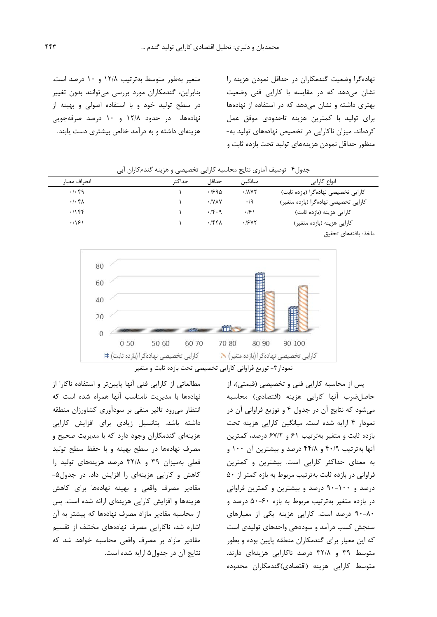نهادهگرا وضعیت گندمکاران در حداقل نمودن هزینه را نشان میدهد که در مقایسه با کارایی فنی وضعیت بهتري داشته و نشان میدهد که در استفاده از نهادهها براي تولید با کمترین هزینه تاحدودي موفق عمل کردهاند. میزان ناکارایی در تخصیص نهادههاي تولید به- منظور حداقل نمودن هزینههاي تولید تحت بازده ثابت و

متغیر بهطور متوسط بهترتیب 12/8 و 10 درصد است. بنابراین، گندمکاران مورد بررسی میتوانند بدون تغییر در سطح تولید خود و با استفاده اصولی و بهینه از نهادهها، در حدود 12/8 و 10 درصد صرفهجویی هزینهاي داشته و به درآمد خالص بیشتري دست یابند.

| انحراف معيا,                                 | حداكث | حداقا                 | ميانگين             | انواع كارايي                         |
|----------------------------------------------|-------|-----------------------|---------------------|--------------------------------------|
| .4.49                                        |       | $.199\Delta$          | .701                | کارایی تخصیصی نهادهگرا (بازده ثابت)  |
| $.$ $\cdot$ $\uparrow$ $\uparrow$ $\uparrow$ |       | $\cdot$ /Y $\wedge$ Y | $\cdot/9$           | کارایی تخصیصی نهادهگرا (بازده متغیر) |
| .1188                                        |       | $\cdot$ /۴۰۹          | $\cdot$ /6 $\wedge$ | کارایی هزینه (بازده ثابت)            |
| .191                                         |       | .756                  | .19YY               | کارایی هزینه (بازده متغیر)           |

جدول-4 توصیف آماري نتایج محاسبه کارایی تخصیصی و هزینه گندمکاران آبی

ماخذ: یافتههاي تحقیق



نمودار-3 توزیع فراوانی کارایی تخصیصی تحت بازده ثابت و متغیر

پس از محاسبه کارایی فنی و تخصیصی (قیمتی)، از حاصلضرب آنها کارایی هزینه (اقتصادي) محاسبه میشود که نتایج آن در جدول 4 و توزیع فراوانی آن در نمودار 4 ارایه شده است. میانگین کارایی هزینه تحت بازده ثابت و متغیر بهترتیب 61 و 67/2 درصد، کمترین آنها بهترتیب 40/9 و 44/8 درصد و بیشترین آن 100 و به معناي حداکثر کارایی است. بیشترین و کمترین فراوانی در بازده ثابت بهترتیب مربوط به بازه کمتر از 50 درصد و 90-100 درصد و بیشترین و کمترین فراوانی در بازده متغیر بهترتیب مربوط به بازه 50-60 درصد و 90-80 درصد است. کارایی هزینه یکی از معیارهاي سنجش کسب درآمد و سوددهی واحدهاي تولیدي است که این معیار براي گندمکاران منطقه پایین بوده و بطور متوسط 39 و 32/8 درصد ناکارایی هزینهاي دارند. متوسط کارایی هزینه (اقتصادي)گندمکاران محدوده

مطالعاتی از کارایی فنی آنها پایینتر و استفاده ناکارا از نهادهها با مدیریت نامناسب آنها همراه شده است که انتظار میرود تاثیر منفی بر سودآوري کشاورزان منطقه داشته باشد. پتانسیل زیادي براي افزایش کارایی هزینهاي گندمکاران وجود دارد که با مدیریت صحیح و مصرف نهادهها در سطح بهینه و با حفظ سطح تولید فعلی بهمیزان 39 و 32/8 درصد هزینههاي تولید را کاهش و کارایی هزینهاي را افزایش داد. در جدول-5 مقادیر مصرف واقعی و بهینه نهادهها براي کاهش هزینهها و افزایش کارایی هزینهاي ارائه شده است. پس از محاسبه مقادیر مازاد مصرف نهادهها که پیشتر به آن اشاره شد، ناکارایی مصرف نهادههاي مختلف از تقسیم مقادیر مازاد بر مصرف واقعی محاسبه خواهد شد که نتایج آن در جدول5 ارایه شده است.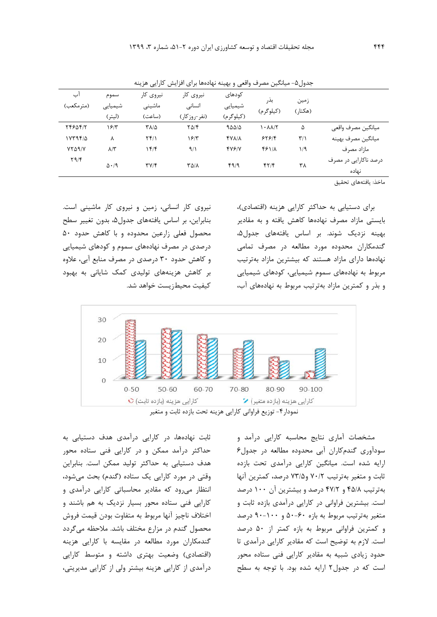|                |                  | <i>ت</i> "ب              |                         | .            |                                          | ັ                       |                                |
|----------------|------------------|--------------------------|-------------------------|--------------|------------------------------------------|-------------------------|--------------------------------|
| آب             | سموم             | نیروی کار                | نیروی کار               | كودهاى       | بذر                                      |                         |                                |
| (مترمكعب)      | شیمیایی          | ماشيني                   | انسانی                  | شیمیایی      | (کیلوگرم)                                | زمين<br>(هکتار)         |                                |
|                | (ليتر)           | (ساعت)                   | (نفر-روزكار)            | (کیلوگرم)    |                                          |                         |                                |
| 7484417        | ۱۶۳              | ٣٨/٥                     | $Y\Delta/\mathfrak{F}$  | 900/0        | $\lambda$ - $\lambda$ $\lambda$ / $\tau$ | ۵                       | ميانگين مصرف واقعي             |
| $1YY9Y/\Delta$ | ٨                | $Yf/\lambda$             | ۱۶۳                     | <b>FYA/A</b> | 555/                                     | $\mathbf{r}/\mathbf{r}$ | ميانگين مصرف بهينه             |
| VYA9/V         | $\lambda/\tau$   | ۱۴۱۴                     | 9/1                     | 478/Y        | 48118                                    | 1/9                     | مازاد مصرف                     |
| $Y \Upsilon$   | $\Delta \cdot 9$ | $\mathbf{y}(\mathbf{y})$ | $\Gamma \Delta/\Lambda$ | 4919         | $f\uparrow/\uparrow$                     | ۳۸                      | درصد ناکارایی در مصرف<br>نهاده |
|                |                  |                          |                         |              |                                          |                         |                                |

جدول۵- میانگین مصرف واقعی و بهینه نهادهها برای افزایش کارایی هزینه

ماخذ: یافتههاي تحقیق

براي دستیابی به حداکثر کارایی هزینه (اقتصادي)، بایستی مازاد مصرف نهادهها کاهش یافته و به مقادیر بهینه نزدیک شوند. بر اساس یافتههای جدول۵، گندمکاران محدوده مورد مطالعه در مصرف تمامی نهادهها داراي مازاد هستند که بیشترین مازاد بهترتیب مربوط به نهادههاي سموم شیمیایی، کودهاي شیمیایی و بذر و کمترین مازاد بهترتیب مربوط به نهادههاي آب،

نیروي کار انسانی، زمین و نیروي کار ماشینی است. بنابراین، بر اساس یافتههاي جدول،5 بدون تغییر سطح محصول فعلی زارعین محدوده و با کاهش حدود 50 درصدي در مصرف نهادههاي سموم و کودهاي شیمیایی و کاهش حدود 30 درصدي در مصرف منابع آبی، علاوه بر کاهش هزینههاي تولیدي کمک شایانی به بهبود کیفیت محیطزیست خواهد شد.



نمودار-4 توزیع فراوانی کارایی هزینه تحت بازده ثابت و متغیر

ثابت نهادهها، در کارایی درآمدي هدف دستیابی به حداکثر درآمد ممکن و در کارایی فنی ستاده محور هدف دستیابی به حداکثر تولید ممکن است. بنابراین وقتی در مورد کارایی یک ستاده (گندم) بحث میشود، انتظار میرود که مقادیر محاسباتی کارایی درآمدي و کارایی فنی ستاده محور بسیار نزدیک به هم باشند و اختلاف ناچیز آنها مربوط به متفاوت بودن قیمت فروش محصول گندم در مزارع مختلف باشد. ملاحظه میگردد گندمکاران مورد مطالعه در مقایسه با کارایی هزینه (اقتصادي) وضعیت بهتري داشته و متوسط کارایی درآمدي از کارایی هزینه بیشتر ولی از کارایی مدیریتی،

مشخصات آماري نتایج محاسبه کارایی درآمد و سودآوري گندمکاران آبی محدوده مطالعه در جدول6 ارایه شده است. میانگین کارایی درآمدي تحت بازده ثابت و متغیر بهترتیب 70/2 و73/5 درصد، کمترین آنها بهترتیب 45/8 و 47/2 درصد و بیشترین آن 100 درصد است. بیشترین فراوانی در کارایی درآمدي بازده ثابت و متغیر بهترتیب مربوط به بازه 50-60 و 90-100 درصد و کمترین فراوانی مربوط به بازه کمتر از 50 درصد است. لازم به توضیح است که مقادیر کارایی درآمدي تا حدود زیادي شبیه به مقادیر کارایی فنی ستاده محور است که در جدول2 ارایه شده بود. با توجه به سطح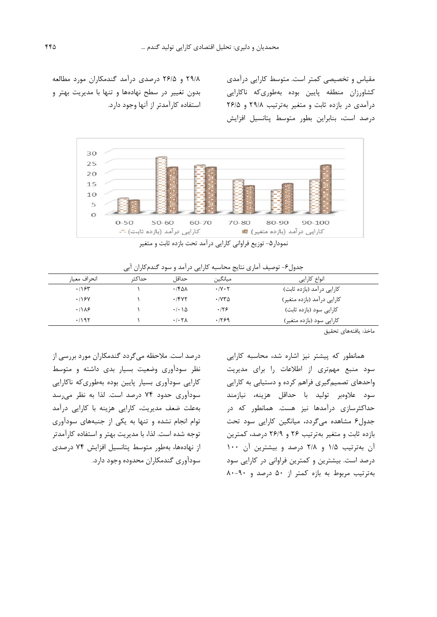مقیاس و تخصیصی کمتر است. متوسط کارایی درآمدي کشاورزان منطقه پایین بوده بهطوريکه ناکارایی درآمدي در بازده ثابت و متغیر بهترتیب 29/8 و 26/5 درصد است، بنابراین بطور متوسط پتانسیل افزایش

29/8 و 26/5 درصدي درآمد گندمکاران مورد مطالعه بدون تغییر در سطح نهادهها و تنها با مدیریت بهتر و استفاده کارآمدتر از آنها وجود دارد.



نمودار ۵- توزیع فراوانی کارایی درآمد تحت بازده ثابت و متغیر

جدول۶- توصیف آماری نتایج محاسبه کارایی درآمد و سود گندمکاران آبی

| انحراف معيار | حداكثہ | حداقا                              | ميانگين                    | انواع کارایی               |
|--------------|--------|------------------------------------|----------------------------|----------------------------|
| .195         |        | ۰/۴۵۸                              | $\cdot$ /Y $\cdot$ $\cdot$ | کارایی درآمد (بازده ثابت)  |
| .198V        |        | .7847                              | $\cdot$ / $\vee$ $\sim$    | کارایی درآمد (بازده متغیر) |
| .118         |        | $\cdot$ / $\cdot$ \ $\Delta$       | ۰۱۲۶                       | کارایی سود (بازده ثابت)    |
| .795         |        | $\cdot$ / $\cdot$ $\tau$ $\lambda$ | .199                       | کارایی سود (بازده متغیر)   |

ماخذ: یافتههاي تحقیق

همانطور که پیشتر نیز اشاره شد، محاسبه کارایی سود منبع مهمتري از اطلاعات را براي مدیریت واحدهاي تصمیمگیري فراهم کرده و دستیابی به کارایی سود علاوهبر تولید با حداقل هزینه، نیازمند حداکثرسازي درآمدها نیز هست. همانطور که در جدول6 مشاهده میگردد، میانگین کارایی سود تحت بازده ثابت و متغیر بهترتیب 26 و 26/9 درصد، کمترین آن بهترتیب 1/5 و 2/8 درصد و بیشترین آن 100 درصد است. بیشترین و کمترین فراوانی در کارایی سود بهترتیب مربوط به بازه کمتر از 50 درصد و 80-90

درصد است. ملاحظه میگردد گندمکاران مورد بررسی از نظر سودآوري وضعیت بسیار بدي داشته و متوسط کارایی سودآوري بسیار پایین بوده بهطوريکه ناکارایی سودآوري حدود 74 درصد است. لذا به نظر میرسد بهعلت ضعف مدیریت، کارایی هزینه با کارایی درآمد توام انجام نشده و تنها به یکی از جنبههاي سودآوري توجه شده است. لذا، با مدیریت بهتر و استفاده کارآمدتر از نهادهها، بهطور متوسط پتانسیل افزایش 74 درصدي سودآوري گندمکاران محدوده وجود دارد.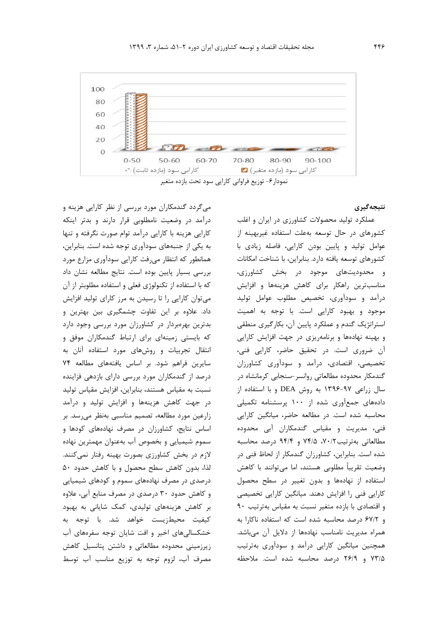

نمودار-6 توزیع فراوانی کارایی سود تحت بازده متغیر

## **نتیجهگیري**

عملکرد تولید محصولات کشاورزي در ایران و اغلب کشورهاي در حال توسعه بهعلت استفاده غیربهینه از عوامل تولید و پایین بودن کارایی، فاصله زیادي با کشورهاي توسعه یافته دارد. بنابراین، با شناخت امکانات و محدودیتهاي موجود در بخش کشاورزي، مناسبترین راهکار براي کاهش هزینهها و افزایش درآمد و سودآوري، تخصیص مطلوب عوامل تولید موجود و بهبود کارایی است. با توجه به اهمیت استراتژیک گندم و عملکرد پایین آن، بکارگیري منطقی و بهینه نهادهها و برنامهریزي در جهت افزایش کارایی آن ضروري است. در تحقیق حاضر، کارایی فنی، تخصیصی، اقتصادي، درآمد و سودآوري کشاورزان گندمکار محدوده مطالعاتی روانسر-سنجابی کرمانشاه در سال زراعی 1396-97 به روش DEA و با استفاده از دادههاي جمعآوري شده از 100 پرسشنامه تکمیلی محاسبه شده است. در مطالعه حاضر، میانگین کارایی فنی، مدیریت و مقیاس گندمکاران آبی محدوده مطالعاتی بهترتیب،70/2 74/5 و 94/4 درصد محاسبه شده است. بنابراین، کشاورزان گندمکار از لحاظ فنی در وضعیت تقریباً مطلوبی هستند، اما میتوانند با کاهش استفاده از نهادهها و بدون تغییر در سطح محصول کارایی فنی را افزایش دهند. میانگین کارایی تخصیصی و اقتصادي با بازده متغیر نسبت به مقیاس بهترتیب 90 و 67/2 درصد محاسبه شده است که استفاده ناکارا به همراه مدیریت نامناسب نهادهها از دلایل آن میباشد. همچنین میانگین کارایی درآمد و سودآوري بهترتیب 73/5 و 26/9 درصد محاسبه شده است. ملاحظه

میگردد گندمکاران مورد بررسی از نظر کارایی هزینه و درآمد در وضعیت نامطلوبی قرار دارند و بدتر اینکه کارایی هزینه با کارایی درآمد توام صورت نگرفته و تنها به یکی از جنبههاي سودآوري توجه شده است. بنابراین، همانطور که انتظار میرفت کارایی سودآوري مزارع مورد بررسی بسیار پایین بوده است. نتایج مطالعه نشان داد که با استفاده از تکنولوژي فعلی و استفاده مطلوبتر از آن میتوان کارایی را تا رسیدن به مرز کاراي تولید افزایش داد. علاوه بر این تفاوت چشمگیري بین بهترین و بدترین بهرهبردار در کشاورزان مورد بررسی وجود دارد که بایستی زمینهاي براي ارتباط گندمکاران موفق و انتقال تجربیات و روشهاي مورد استفاده آنان به سایرین فراهم شود. بر اساس یافتههاي مطالعه 74 درصد از گندمکاران مورد بررسی داراي بازدهی فزاینده نسبت به مقیاس هستند، بنابراین، افزایش مقیاس تولید در جهت کاهش هزینهها و افزایش تولید و درآمد زارعین مورد مطالعه، تصمیم مناسبی بهنظر میرسد. بر اساس نتایج، کشاورزان در مصرف نهادههاي کودها و سموم شیمیایی و بخصوص آب بهعنوان مهمترین نهاده لازم در بخش کشاورزي بصورت بهینه رفتار نمیکنند. لذا، بدون کاهش سطح محصول و با کاهش حدود 50 درصدي در مصرف نهادههاي سموم و کودهاي شیمیایی و کاهش حدود 30 درصدي در مصرف منابع آبی، علاوه بر کاهش هزینههاي تولیدي، کمک شایانی به بهبود کیفیت محیطزیست خواهد شد. با توجه به خشکسالیهاي اخیر و افت شایان توجه سفرههاي آب زیرزمینی محدوده مطالعاتی و داشتن پتانسیل کاهش مصرف آب، لزوم توجه به توزیع مناسب آب توسط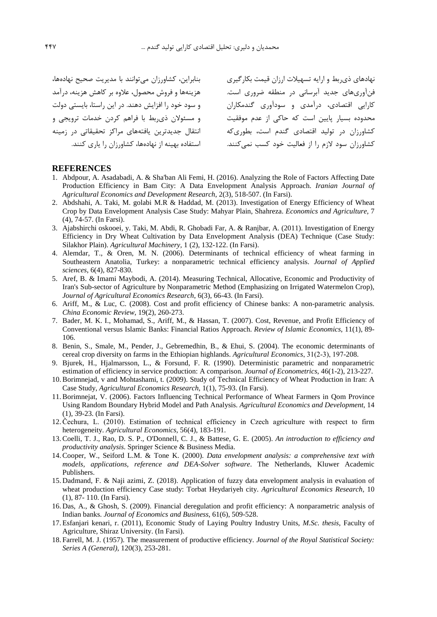محدوده بسیار پایین است که حاکی از عدم موفقیت و مسئولان ذيربط با فراهم کردن خدمات ترویجی و کشاورزان سود لازم را از فعالیت خود کسب نمیکنند. استفاده بهینه از نهادهها، کشاورزان را یاري کنند. بنابراین، کشاورزان میتوانند با مدیریت صحیح نهادهها، هزینهها و فروش محصول، علاوه بر کاهش هزینه، درآمد و سود خود را افزایش دهند. در این راستا، بایستی دولت انتقال جدیدترین یافتههاي مراکز تحقیقاتی در زمینه

نهادهاي ذيربط و ارایه تسهیلات ارزان قیمت بکارگیري فنآوريهاي جدید آبرسانی در منطقه ضروري است. کارایی اقتصادي، درآمدي و سودآوري گندمکاران کشاورزان در تولید اقتصادي گندم است، بطوريکه

#### **REFERENCES**

- 1. Abdpour, A. Asadabadi, A. & Sha'ban Ali Femi, H. (2016). Analyzing the Role of Factors Affecting Date Production Efficiency in Bam City: A Data Envelopment Analysis Approach. *Iranian Journal of Agricultural Economics and Development Research*, 2(3), 518-507. (In Farsi).
- 2. Abdshahi, A. Taki, M. golabi M.R & Haddad, M. (2013). Investigation of Energy Efficiency of Wheat Crop by Data Envelopment Analysis Case Study: Mahyar Plain, Shahreza. *Economics and Agriculture,* 7 (4), 74-57. (In Farsi).
- 3. Ajabshirchi oskooei, y. Taki, M. Abdi, R. Ghobadi Far, A. & Ranjbar, A. (2011). Investigation of Energy Efficiency in Dry Wheat Cultivation by Data Envelopment Analysis (DEA) Technique (Case Study: Silakhor Plain). *Agricultural Machinery,* 1 (2), 132-122. (In Farsi).
- 4. Alemdar, T., & Oren, M. N. (2006). Determinants of technical efficiency of wheat farming in Southeastern Anatolia, Turkey: a nonparametric technical efficiency analysis. *Journal of Applied sciences*, 6(4), 827-830.
- 5. Aref, B. & Imami Maybodi, A. (2014). Measuring Technical, Allocative, Economic and Productivity of Iran's Sub-sector of Agriculture by Nonparametric Method (Emphasizing on Irrigated Watermelon Crop), *Journal of Agricultural Economics Research*, 6(3), 66-43. (In Farsi).
- 6. Ariff, M., & Luc, C. (2008). Cost and profit efficiency of Chinese banks: A non-parametric analysis. *China Economic Review*, 19(2), 260-273.
- 7. Bader, M. K. I., Mohamad, S., Ariff, M., & Hassan, T. (2007). Cost, Revenue, and Profit Efficiency of Conventional versus Islamic Banks: Financial Ratios Approach. *Review of Islamic Economics*, 11(1), 89- 106.
- 8. Benin, S., Smale, M., Pender, J., Gebremedhin, B., & Ehui, S. (2004). The economic determinants of cereal crop diversity on farms in the Ethiopian highlands. *Agricultural Economics*, 31(2‐3), 197-208.
- 9. Bjurek, H., Hjalmarsson, L., & Forsund, F. R. (1990). Deterministic parametric and nonparametric estimation of efficiency in service production: A comparison. *Journal of Econometrics*, 46(1-2), 213-227.
- 10.Borimnejad, v and Mohtashami, t. (2009). Study of Technical Efficiency of Wheat Production in Iran: A Case Study, *Agricultural Economics Research*, 1(1), 75-93. (In Farsi).
- 11.Borimnejat, V. (2006). Factors Influencing Technical Performance of Wheat Farmers in Qom Province Using Random Boundary Hybrid Model and Path Analysis. *Agricultural Economics and Development*, 14 (1), 39-23. (In Farsi).
- 12.Čechura, L. (2010). Estimation of technical efficiency in Czech agriculture with respect to firm heterogeneity. *Agricultural Economics,* 56(4), 183-191.
- 13.Coelli, T. J., Rao, D. S. P., O'Donnell, C. J., & Battese, G. E. (2005). *An introduction to efficiency and productivity analysis*. Springer Science & Business Media.
- 14.Cooper, W., Seiford L.M. & Tone K. (2000). *Data envelopment analysis: a comprehensive text with models, applications, reference and DEA-Solver software*. The Netherlands, Kluwer Academic Publishers.
- 15. Dadmand, F. & Naji azimi, Z. (2018). Application of fuzzy data envelopment analysis in evaluation of wheat production efficiency Case study: Torbat Heydariyeh city. *Agricultural Economics Research,* 10 (1), 87- 110. (In Farsi).
- 16. Das, A., & Ghosh, S. (2009). Financial deregulation and profit efficiency: A nonparametric analysis of Indian banks. *Journal of Economics and Business*, 61(6), 509-528.
- 17. Esfanjari kenari, r. (2011), Economic Study of Laying Poultry Industry Units, *M.Sc. thesis*, Faculty of Agriculture, Shiraz University. (In Farsi).
- 18. Farrell, M. J. (1957). The measurement of productive efficiency. *Journal of the Royal Statistical Society: Series A (General)*, 120(3), 253-281.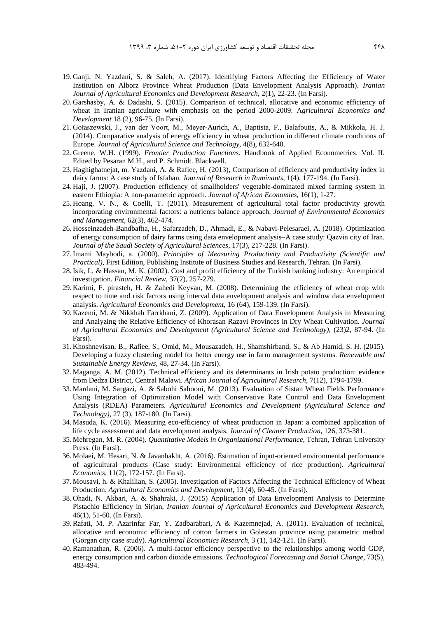- 19. Ganji, N. Yazdani, S. & Saleh, A. (2017). Identifying Factors Affecting the Efficiency of Water Institution on Alborz Province Wheat Production (Data Envelopment Analysis Approach). *Iranian Journal of Agricultural Economics and Development Research*, 2(1), 22-23. (In Farsi).
- 20. Garshasby, A. & Dadashi, S. (2015). Comparison of technical, allocative and economic efficiency of wheat in Iranian agriculture with emphasis on the period 2000-2009. A*gricultural Economics and Development* 18 (2), 96-75. (In Farsi).
- 21. Gołaszewski, J., van der Voort, M., Meyer-Aurich, A., Baptista, F., Balafoutis, A., & Mikkola, H. J. (2014). Comparative analysis of energy efficiency in wheat production in different climate conditions of Europe. *Journal of Agricultural Science and Technology*, 4(8), 632-640.
- 22. Greene, W.H. (1999). *Frontier Production Functions*. Handbook of Applied Econometrics. Vol. II. Edited by Pesaran M.H., and P. Schmidt. Blackwell.
- 23. Haghighatnejat, m. Yazdani, A. & Rafiee, H. (2013), Comparison of efficiency and productivity index in dairy farms: A case study of Isfahan. *Journal of Research in Ruminants*, 1(4), 177-194. (In Farsi).
- 24. Haji, J. (2007). Production efficiency of smallholders' vegetable-dominated mixed farming system in eastern Ethiopia: A non-parametric approach. *Journal of African Economies*, 16(1), 1-27.
- 25. Hoang, V. N., & Coelli, T. (2011). Measurement of agricultural total factor productivity growth incorporating environmental factors: a nutrients balance approach. *Journal of Environmental Economics and Management*, 62(3), 462-474.
- 26. Hosseinzadeh-Bandbafha, H., Safarzadeh, D., Ahmadi, E., & Nabavi-Pelesaraei, A. (2018). Optimization of energy consumption of dairy farms using data envelopment analysis–A case study: Qazvin city of Iran. *Journal of the Saudi Society of Agricultural Sciences*, 17(3), 217-228. (In Farsi).
- 27.Imami Maybodi, a. (2000). *Principles of Measuring Productivity and Productivity (Scientific and Practical)*, First Edition, Publishing Institute of Business Studies and Research, Tehran. (In Farsi).
- 28.Isik, I., & Hassan, M. K. (2002). Cost and profit efficiency of the Turkish banking industry: An empirical investigation. *Financial Review*, 37(2), 257-279.
- 29. Karimi, F. pirasteh, H. & Zahedi Keyvan, M. (2008). Determining the efficiency of wheat crop with respect to time and risk factors using interval data envelopment analysis and window data envelopment analysis. *Agricultural Economics and Development*, 16 (64), 159-139. (In Farsi).
- 30. Kazemi, M. & Nikkhah Farrkhani, Z. (2009). Application of Data Envelopment Analysis in Measuring and Analyzing the Relative Efficiency of Khorasan Razavi Provinces in Dry Wheat Cultivation. *Journal of Agricultural Economics and Development (Agricultural Science and Technology)*, (23)2, 87-94. (In Farsi).
- 31. Khoshnevisan, B., Rafiee, S., Omid, M., Mousazadeh, H., Shamshirband, S., & Ab Hamid, S. H. (2015). Developing a fuzzy clustering model for better energy use in farm management systems. *Renewable and Sustainable Energy Reviews*, 48, 27-34. (In Farsi).
- 32. Maganga, A. M. (2012). Technical efficiency and its determinants in Irish potato production: evidence from Dedza District, Central Malawi. *African Journal of Agricultural Research*, 7(12), 1794-1799.
- 33. Mardani, M. Sargazi, A. & Sabohi Sabooni, M. (2013). Evaluation of Sistan Wheat Fields Performance Using Integration of Optimization Model with Conservative Rate Control and Data Envelopment Analysis (RDEA) Parameters. *Agricultural Economics and Development (Agricultural Science and Technology),* 27 (3), 187-180. (In Farsi).
- 34. Masuda, K. (2016). Measuring eco-efficiency of wheat production in Japan: a combined application of life cycle assessment and data envelopment analysis. *Journal of Cleaner Production*, 126, 373-381.
- 35. Mehregan, M. R. (2004). *Quantitative Models in Organizational Performance,* Tehran, Tehran University Press. (In Farsi).
- 36. Molaei, M. Hesari, N. & Javanbakht, A. (2016). Estimation of input-oriented environmental performance of agricultural products (Case study: Environmental efficiency of rice production). *Agricultural Economics*, 11(2), 172-157. (In Farsi).
- 37. Mousavi, h. & Khalilian, S. (2005). Investigation of Factors Affecting the Technical Efficiency of Wheat Production. *Agricultural Economics and Development*, 13 (4), 60-45. (In Farsi).
- 38. Ohadi, N. Akbari, A. & Shahraki, J. (2015) Application of Data Envelopment Analysis to Determine Pistachio Efficiency in Sirjan, *Iranian Journal of Agricultural Economics and Development Research*, 46(1), 51-60. (In Farsi).
- 39.Rafati, M. P. Azarinfar Far, Y. Zadbarabari, A & Kazemnejad, A. (2011). Evaluation of technical, allocative and economic efficiency of cotton farmers in Golestan province using parametric method (Gorgan city case study). *Agricultural Economics Research,* 3 (1), 142-121. (In Farsi).
- 40.Ramanathan, R. (2006). A multi-factor efficiency perspective to the relationships among world GDP, energy consumption and carbon dioxide emissions. *Technological Forecasting and Social Change*, 73(5), 483-494.